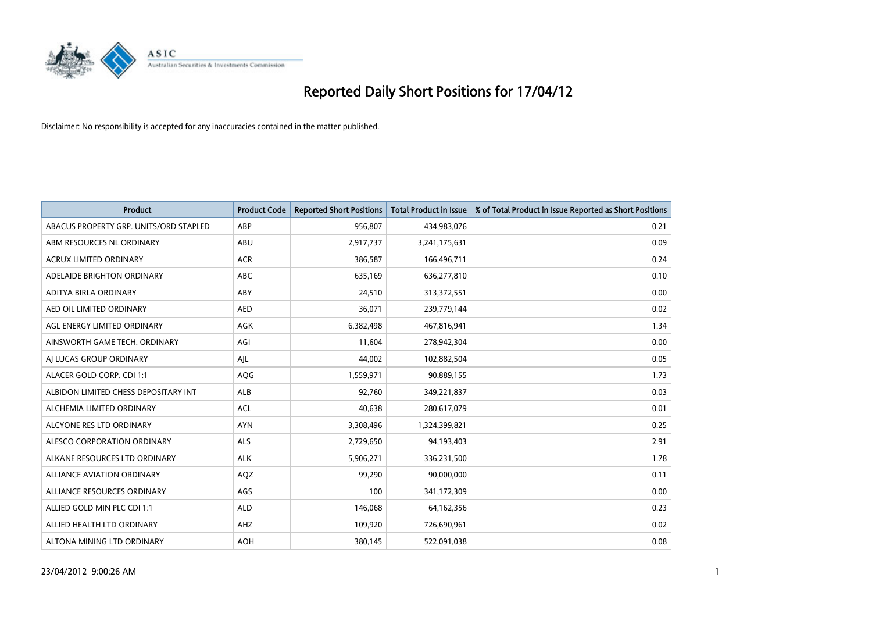

| <b>Product</b>                         | <b>Product Code</b> | <b>Reported Short Positions</b> | Total Product in Issue | % of Total Product in Issue Reported as Short Positions |
|----------------------------------------|---------------------|---------------------------------|------------------------|---------------------------------------------------------|
| ABACUS PROPERTY GRP. UNITS/ORD STAPLED | ABP                 | 956,807                         | 434,983,076            | 0.21                                                    |
| ABM RESOURCES NL ORDINARY              | ABU                 | 2,917,737                       | 3,241,175,631          | 0.09                                                    |
| <b>ACRUX LIMITED ORDINARY</b>          | <b>ACR</b>          | 386,587                         | 166,496,711            | 0.24                                                    |
| ADELAIDE BRIGHTON ORDINARY             | <b>ABC</b>          | 635,169                         | 636,277,810            | 0.10                                                    |
| ADITYA BIRLA ORDINARY                  | ABY                 | 24,510                          | 313,372,551            | 0.00                                                    |
| AED OIL LIMITED ORDINARY               | <b>AED</b>          | 36,071                          | 239,779,144            | 0.02                                                    |
| AGL ENERGY LIMITED ORDINARY            | AGK                 | 6,382,498                       | 467,816,941            | 1.34                                                    |
| AINSWORTH GAME TECH. ORDINARY          | AGI                 | 11,604                          | 278,942,304            | 0.00                                                    |
| AJ LUCAS GROUP ORDINARY                | AJL                 | 44,002                          | 102,882,504            | 0.05                                                    |
| ALACER GOLD CORP. CDI 1:1              | AQG                 | 1,559,971                       | 90,889,155             | 1.73                                                    |
| ALBIDON LIMITED CHESS DEPOSITARY INT   | <b>ALB</b>          | 92,760                          | 349,221,837            | 0.03                                                    |
| ALCHEMIA LIMITED ORDINARY              | <b>ACL</b>          | 40,638                          | 280,617,079            | 0.01                                                    |
| ALCYONE RES LTD ORDINARY               | <b>AYN</b>          | 3,308,496                       | 1,324,399,821          | 0.25                                                    |
| ALESCO CORPORATION ORDINARY            | ALS                 | 2,729,650                       | 94,193,403             | 2.91                                                    |
| ALKANE RESOURCES LTD ORDINARY          | <b>ALK</b>          | 5,906,271                       | 336,231,500            | 1.78                                                    |
| <b>ALLIANCE AVIATION ORDINARY</b>      | AQZ                 | 99,290                          | 90,000,000             | 0.11                                                    |
| ALLIANCE RESOURCES ORDINARY            | AGS                 | 100                             | 341,172,309            | 0.00                                                    |
| ALLIED GOLD MIN PLC CDI 1:1            | <b>ALD</b>          | 146,068                         | 64,162,356             | 0.23                                                    |
| ALLIED HEALTH LTD ORDINARY             | AHZ                 | 109,920                         | 726,690,961            | 0.02                                                    |
| ALTONA MINING LTD ORDINARY             | <b>AOH</b>          | 380,145                         | 522,091,038            | 0.08                                                    |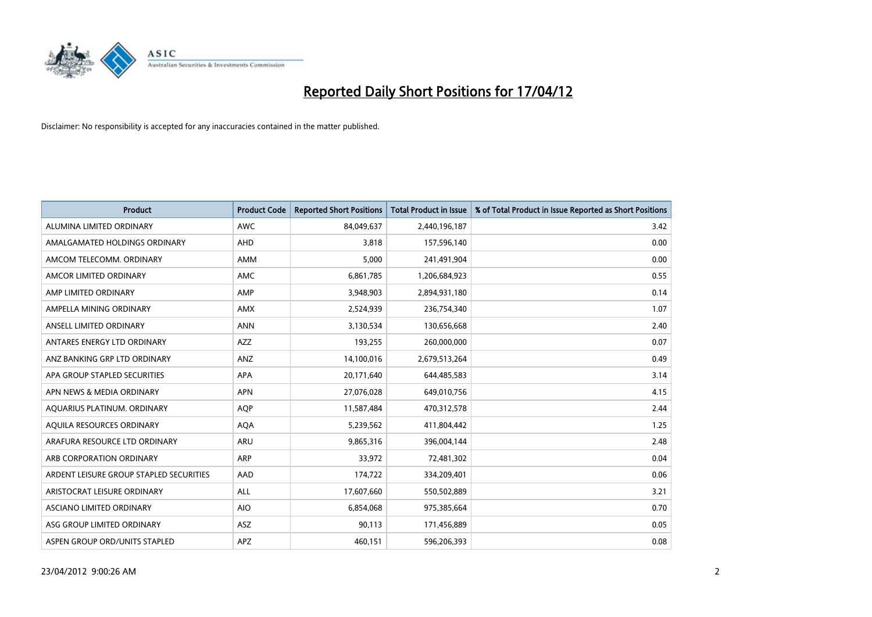

| <b>Product</b>                          | <b>Product Code</b> | <b>Reported Short Positions</b> | <b>Total Product in Issue</b> | % of Total Product in Issue Reported as Short Positions |
|-----------------------------------------|---------------------|---------------------------------|-------------------------------|---------------------------------------------------------|
| ALUMINA LIMITED ORDINARY                | <b>AWC</b>          | 84,049,637                      | 2,440,196,187                 | 3.42                                                    |
| AMALGAMATED HOLDINGS ORDINARY           | AHD                 | 3,818                           | 157,596,140                   | 0.00                                                    |
| AMCOM TELECOMM, ORDINARY                | AMM                 | 5,000                           | 241,491,904                   | 0.00                                                    |
| AMCOR LIMITED ORDINARY                  | AMC                 | 6,861,785                       | 1,206,684,923                 | 0.55                                                    |
| AMP LIMITED ORDINARY                    | AMP                 | 3,948,903                       | 2,894,931,180                 | 0.14                                                    |
| AMPELLA MINING ORDINARY                 | <b>AMX</b>          | 2,524,939                       | 236,754,340                   | 1.07                                                    |
| ANSELL LIMITED ORDINARY                 | <b>ANN</b>          | 3,130,534                       | 130,656,668                   | 2.40                                                    |
| ANTARES ENERGY LTD ORDINARY             | AZZ                 | 193,255                         | 260,000,000                   | 0.07                                                    |
| ANZ BANKING GRP LTD ORDINARY            | ANZ                 | 14,100,016                      | 2,679,513,264                 | 0.49                                                    |
| APA GROUP STAPLED SECURITIES            | <b>APA</b>          | 20,171,640                      | 644,485,583                   | 3.14                                                    |
| APN NEWS & MEDIA ORDINARY               | <b>APN</b>          | 27,076,028                      | 649,010,756                   | 4.15                                                    |
| AQUARIUS PLATINUM. ORDINARY             | AQP                 | 11,587,484                      | 470,312,578                   | 2.44                                                    |
| AQUILA RESOURCES ORDINARY               | <b>AQA</b>          | 5,239,562                       | 411,804,442                   | 1.25                                                    |
| ARAFURA RESOURCE LTD ORDINARY           | ARU                 | 9,865,316                       | 396,004,144                   | 2.48                                                    |
| ARB CORPORATION ORDINARY                | <b>ARP</b>          | 33,972                          | 72,481,302                    | 0.04                                                    |
| ARDENT LEISURE GROUP STAPLED SECURITIES | AAD                 | 174,722                         | 334,209,401                   | 0.06                                                    |
| ARISTOCRAT LEISURE ORDINARY             | ALL                 | 17,607,660                      | 550,502,889                   | 3.21                                                    |
| ASCIANO LIMITED ORDINARY                | <b>AIO</b>          | 6,854,068                       | 975,385,664                   | 0.70                                                    |
| ASG GROUP LIMITED ORDINARY              | ASZ                 | 90,113                          | 171,456,889                   | 0.05                                                    |
| ASPEN GROUP ORD/UNITS STAPLED           | APZ                 | 460,151                         | 596,206,393                   | 0.08                                                    |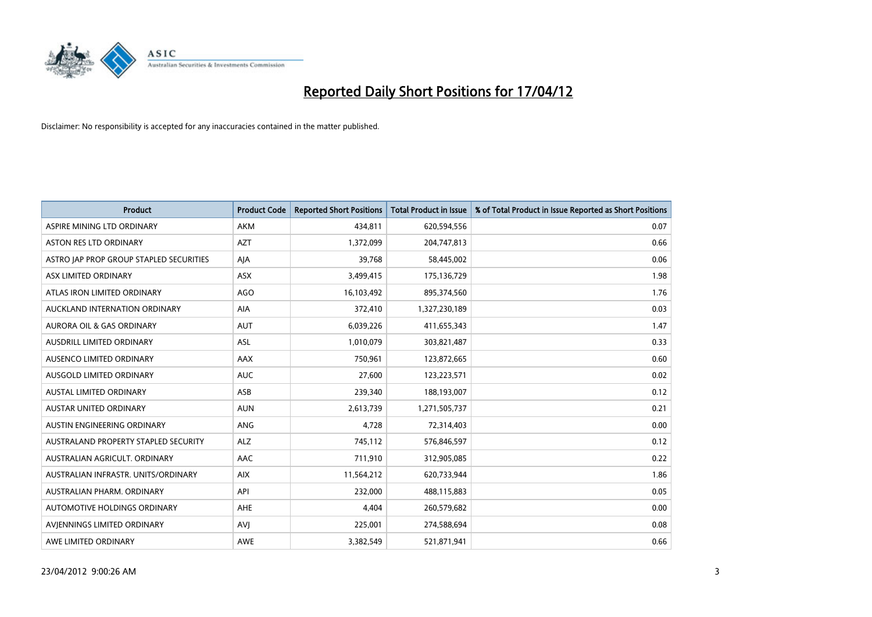

| <b>Product</b>                          | <b>Product Code</b> | <b>Reported Short Positions</b> | <b>Total Product in Issue</b> | % of Total Product in Issue Reported as Short Positions |
|-----------------------------------------|---------------------|---------------------------------|-------------------------------|---------------------------------------------------------|
| ASPIRE MINING LTD ORDINARY              | AKM                 | 434,811                         | 620,594,556                   | 0.07                                                    |
| ASTON RES LTD ORDINARY                  | <b>AZT</b>          | 1,372,099                       | 204,747,813                   | 0.66                                                    |
| ASTRO JAP PROP GROUP STAPLED SECURITIES | AJA                 | 39,768                          | 58,445,002                    | 0.06                                                    |
| ASX LIMITED ORDINARY                    | ASX                 | 3,499,415                       | 175,136,729                   | 1.98                                                    |
| ATLAS IRON LIMITED ORDINARY             | <b>AGO</b>          | 16,103,492                      | 895,374,560                   | 1.76                                                    |
| AUCKLAND INTERNATION ORDINARY           | AIA                 | 372,410                         | 1,327,230,189                 | 0.03                                                    |
| <b>AURORA OIL &amp; GAS ORDINARY</b>    | <b>AUT</b>          | 6,039,226                       | 411,655,343                   | 1.47                                                    |
| AUSDRILL LIMITED ORDINARY               | ASL                 | 1,010,079                       | 303,821,487                   | 0.33                                                    |
| AUSENCO LIMITED ORDINARY                | AAX                 | 750,961                         | 123,872,665                   | 0.60                                                    |
| AUSGOLD LIMITED ORDINARY                | <b>AUC</b>          | 27,600                          | 123,223,571                   | 0.02                                                    |
| AUSTAL LIMITED ORDINARY                 | ASB                 | 239,340                         | 188,193,007                   | 0.12                                                    |
| <b>AUSTAR UNITED ORDINARY</b>           | <b>AUN</b>          | 2,613,739                       | 1,271,505,737                 | 0.21                                                    |
| AUSTIN ENGINEERING ORDINARY             | ANG                 | 4,728                           | 72,314,403                    | 0.00                                                    |
| AUSTRALAND PROPERTY STAPLED SECURITY    | <b>ALZ</b>          | 745,112                         | 576,846,597                   | 0.12                                                    |
| AUSTRALIAN AGRICULT. ORDINARY           | <b>AAC</b>          | 711,910                         | 312,905,085                   | 0.22                                                    |
| AUSTRALIAN INFRASTR, UNITS/ORDINARY     | <b>AIX</b>          | 11,564,212                      | 620,733,944                   | 1.86                                                    |
| AUSTRALIAN PHARM, ORDINARY              | API                 | 232,000                         | 488,115,883                   | 0.05                                                    |
| AUTOMOTIVE HOLDINGS ORDINARY            | AHE                 | 4,404                           | 260,579,682                   | 0.00                                                    |
| AVIENNINGS LIMITED ORDINARY             | <b>AVI</b>          | 225,001                         | 274,588,694                   | 0.08                                                    |
| AWE LIMITED ORDINARY                    | AWE                 | 3,382,549                       | 521,871,941                   | 0.66                                                    |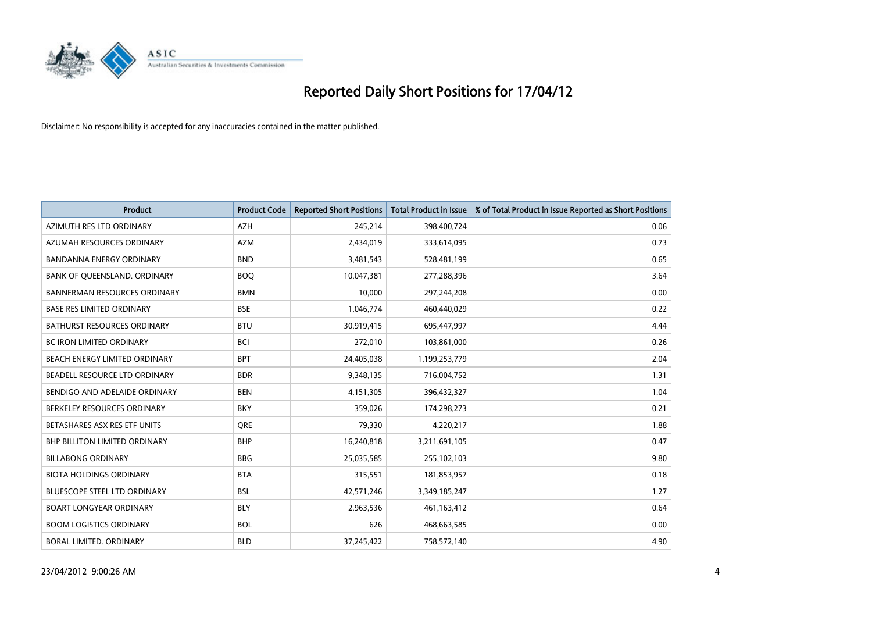

| <b>Product</b>                       | <b>Product Code</b> | <b>Reported Short Positions</b> | <b>Total Product in Issue</b> | % of Total Product in Issue Reported as Short Positions |
|--------------------------------------|---------------------|---------------------------------|-------------------------------|---------------------------------------------------------|
| AZIMUTH RES LTD ORDINARY             | <b>AZH</b>          | 245,214                         | 398,400,724                   | 0.06                                                    |
| AZUMAH RESOURCES ORDINARY            | <b>AZM</b>          | 2,434,019                       | 333,614,095                   | 0.73                                                    |
| <b>BANDANNA ENERGY ORDINARY</b>      | <b>BND</b>          | 3,481,543                       | 528,481,199                   | 0.65                                                    |
| BANK OF QUEENSLAND. ORDINARY         | <b>BOO</b>          | 10,047,381                      | 277,288,396                   | 3.64                                                    |
| <b>BANNERMAN RESOURCES ORDINARY</b>  | <b>BMN</b>          | 10,000                          | 297,244,208                   | 0.00                                                    |
| <b>BASE RES LIMITED ORDINARY</b>     | <b>BSE</b>          | 1,046,774                       | 460,440,029                   | 0.22                                                    |
| BATHURST RESOURCES ORDINARY          | <b>BTU</b>          | 30,919,415                      | 695,447,997                   | 4.44                                                    |
| BC IRON LIMITED ORDINARY             | <b>BCI</b>          | 272,010                         | 103,861,000                   | 0.26                                                    |
| BEACH ENERGY LIMITED ORDINARY        | <b>BPT</b>          | 24,405,038                      | 1,199,253,779                 | 2.04                                                    |
| BEADELL RESOURCE LTD ORDINARY        | <b>BDR</b>          | 9,348,135                       | 716,004,752                   | 1.31                                                    |
| BENDIGO AND ADELAIDE ORDINARY        | <b>BEN</b>          | 4,151,305                       | 396,432,327                   | 1.04                                                    |
| BERKELEY RESOURCES ORDINARY          | <b>BKY</b>          | 359,026                         | 174,298,273                   | 0.21                                                    |
| BETASHARES ASX RES ETF UNITS         | <b>ORE</b>          | 79,330                          | 4,220,217                     | 1.88                                                    |
| <b>BHP BILLITON LIMITED ORDINARY</b> | <b>BHP</b>          | 16,240,818                      | 3,211,691,105                 | 0.47                                                    |
| <b>BILLABONG ORDINARY</b>            | <b>BBG</b>          | 25,035,585                      | 255,102,103                   | 9.80                                                    |
| <b>BIOTA HOLDINGS ORDINARY</b>       | <b>BTA</b>          | 315,551                         | 181,853,957                   | 0.18                                                    |
| BLUESCOPE STEEL LTD ORDINARY         | <b>BSL</b>          | 42,571,246                      | 3,349,185,247                 | 1.27                                                    |
| <b>BOART LONGYEAR ORDINARY</b>       | <b>BLY</b>          | 2,963,536                       | 461,163,412                   | 0.64                                                    |
| <b>BOOM LOGISTICS ORDINARY</b>       | <b>BOL</b>          | 626                             | 468,663,585                   | 0.00                                                    |
| BORAL LIMITED. ORDINARY              | <b>BLD</b>          | 37,245,422                      | 758,572,140                   | 4.90                                                    |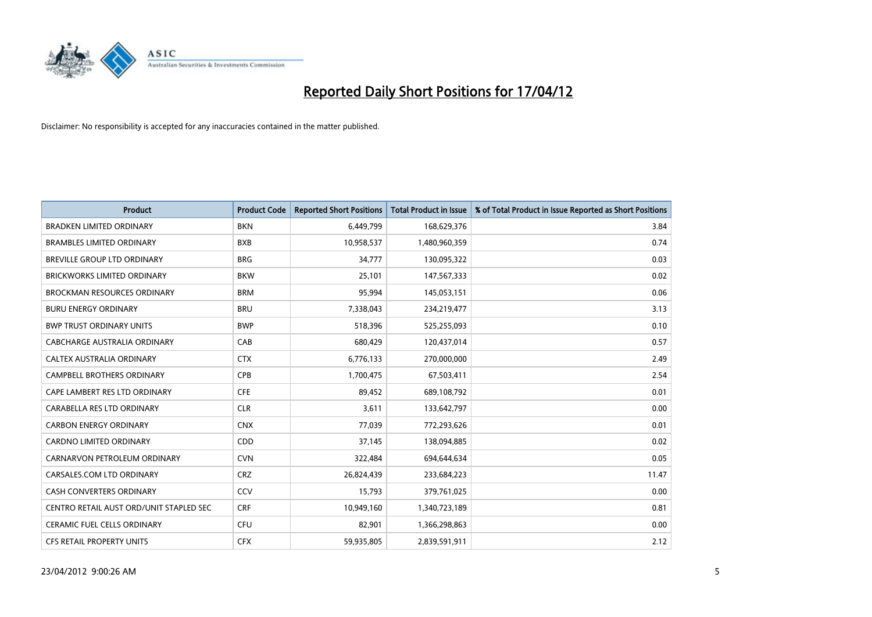

| <b>Product</b>                          | <b>Product Code</b> | <b>Reported Short Positions</b> | <b>Total Product in Issue</b> | % of Total Product in Issue Reported as Short Positions |
|-----------------------------------------|---------------------|---------------------------------|-------------------------------|---------------------------------------------------------|
| <b>BRADKEN LIMITED ORDINARY</b>         | <b>BKN</b>          | 6,449,799                       | 168,629,376                   | 3.84                                                    |
| <b>BRAMBLES LIMITED ORDINARY</b>        | <b>BXB</b>          | 10,958,537                      | 1,480,960,359                 | 0.74                                                    |
| BREVILLE GROUP LTD ORDINARY             | <b>BRG</b>          | 34,777                          | 130,095,322                   | 0.03                                                    |
| <b>BRICKWORKS LIMITED ORDINARY</b>      | <b>BKW</b>          | 25,101                          | 147,567,333                   | 0.02                                                    |
| <b>BROCKMAN RESOURCES ORDINARY</b>      | <b>BRM</b>          | 95,994                          | 145,053,151                   | 0.06                                                    |
| <b>BURU ENERGY ORDINARY</b>             | <b>BRU</b>          | 7,338,043                       | 234,219,477                   | 3.13                                                    |
| <b>BWP TRUST ORDINARY UNITS</b>         | <b>BWP</b>          | 518,396                         | 525,255,093                   | 0.10                                                    |
| <b>CABCHARGE AUSTRALIA ORDINARY</b>     | CAB                 | 680,429                         | 120,437,014                   | 0.57                                                    |
| CALTEX AUSTRALIA ORDINARY               | <b>CTX</b>          | 6,776,133                       | 270,000,000                   | 2.49                                                    |
| <b>CAMPBELL BROTHERS ORDINARY</b>       | <b>CPB</b>          | 1,700,475                       | 67,503,411                    | 2.54                                                    |
| CAPE LAMBERT RES LTD ORDINARY           | <b>CFE</b>          | 89,452                          | 689,108,792                   | 0.01                                                    |
| CARABELLA RES LTD ORDINARY              | <b>CLR</b>          | 3,611                           | 133,642,797                   | 0.00                                                    |
| <b>CARBON ENERGY ORDINARY</b>           | <b>CNX</b>          | 77,039                          | 772,293,626                   | 0.01                                                    |
| <b>CARDNO LIMITED ORDINARY</b>          | CDD                 | 37,145                          | 138,094,885                   | 0.02                                                    |
| CARNARVON PETROLEUM ORDINARY            | <b>CVN</b>          | 322,484                         | 694,644,634                   | 0.05                                                    |
| CARSALES.COM LTD ORDINARY               | <b>CRZ</b>          | 26,824,439                      | 233,684,223                   | 11.47                                                   |
| CASH CONVERTERS ORDINARY                | CCV                 | 15,793                          | 379,761,025                   | 0.00                                                    |
| CENTRO RETAIL AUST ORD/UNIT STAPLED SEC | <b>CRF</b>          | 10,949,160                      | 1,340,723,189                 | 0.81                                                    |
| CERAMIC FUEL CELLS ORDINARY             | <b>CFU</b>          | 82,901                          | 1,366,298,863                 | 0.00                                                    |
| CFS RETAIL PROPERTY UNITS               | <b>CFX</b>          | 59,935,805                      | 2,839,591,911                 | 2.12                                                    |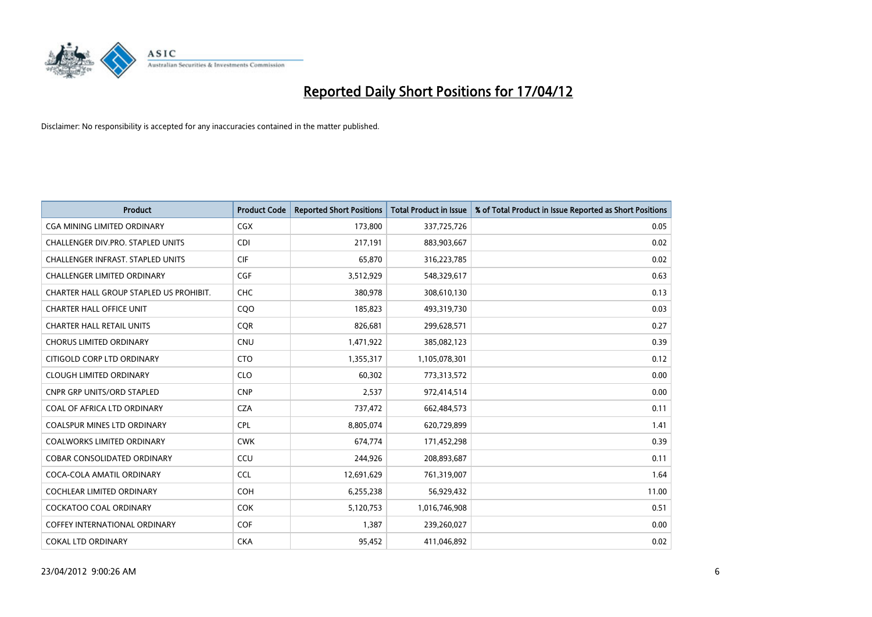

| Product                                  | <b>Product Code</b> | <b>Reported Short Positions</b> | <b>Total Product in Issue</b> | % of Total Product in Issue Reported as Short Positions |
|------------------------------------------|---------------------|---------------------------------|-------------------------------|---------------------------------------------------------|
| CGA MINING LIMITED ORDINARY              | CGX                 | 173,800                         | 337,725,726                   | 0.05                                                    |
| CHALLENGER DIV.PRO. STAPLED UNITS        | <b>CDI</b>          | 217,191                         | 883,903,667                   | 0.02                                                    |
| <b>CHALLENGER INFRAST, STAPLED UNITS</b> | <b>CIF</b>          | 65,870                          | 316,223,785                   | 0.02                                                    |
| CHALLENGER LIMITED ORDINARY              | <b>CGF</b>          | 3,512,929                       | 548,329,617                   | 0.63                                                    |
| CHARTER HALL GROUP STAPLED US PROHIBIT.  | <b>CHC</b>          | 380,978                         | 308,610,130                   | 0.13                                                    |
| <b>CHARTER HALL OFFICE UNIT</b>          | CQO                 | 185,823                         | 493,319,730                   | 0.03                                                    |
| <b>CHARTER HALL RETAIL UNITS</b>         | <b>COR</b>          | 826,681                         | 299,628,571                   | 0.27                                                    |
| <b>CHORUS LIMITED ORDINARY</b>           | <b>CNU</b>          | 1,471,922                       | 385,082,123                   | 0.39                                                    |
| CITIGOLD CORP LTD ORDINARY               | <b>CTO</b>          | 1,355,317                       | 1,105,078,301                 | 0.12                                                    |
| <b>CLOUGH LIMITED ORDINARY</b>           | <b>CLO</b>          | 60,302                          | 773,313,572                   | 0.00                                                    |
| CNPR GRP UNITS/ORD STAPLED               | <b>CNP</b>          | 2,537                           | 972,414,514                   | 0.00                                                    |
| COAL OF AFRICA LTD ORDINARY              | <b>CZA</b>          | 737,472                         | 662,484,573                   | 0.11                                                    |
| COALSPUR MINES LTD ORDINARY              | <b>CPL</b>          | 8,805,074                       | 620,729,899                   | 1.41                                                    |
| <b>COALWORKS LIMITED ORDINARY</b>        | <b>CWK</b>          | 674,774                         | 171,452,298                   | 0.39                                                    |
| <b>COBAR CONSOLIDATED ORDINARY</b>       | CCU                 | 244,926                         | 208,893,687                   | 0.11                                                    |
| COCA-COLA AMATIL ORDINARY                | <b>CCL</b>          | 12,691,629                      | 761,319,007                   | 1.64                                                    |
| COCHLEAR LIMITED ORDINARY                | <b>COH</b>          | 6,255,238                       | 56,929,432                    | 11.00                                                   |
| <b>COCKATOO COAL ORDINARY</b>            | <b>COK</b>          | 5,120,753                       | 1,016,746,908                 | 0.51                                                    |
| <b>COFFEY INTERNATIONAL ORDINARY</b>     | <b>COF</b>          | 1,387                           | 239,260,027                   | 0.00                                                    |
| <b>COKAL LTD ORDINARY</b>                | <b>CKA</b>          | 95,452                          | 411,046,892                   | 0.02                                                    |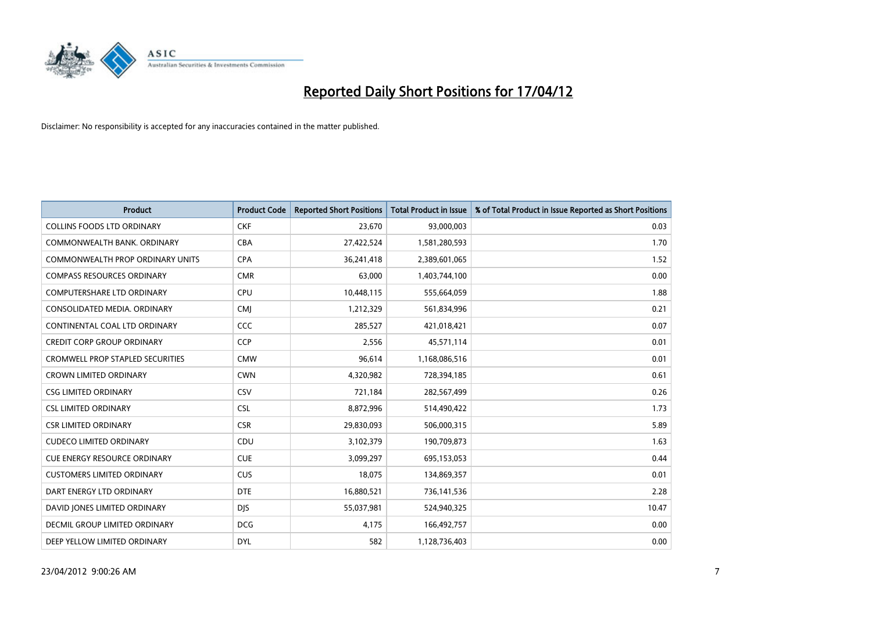

| <b>Product</b>                          | <b>Product Code</b> | <b>Reported Short Positions</b> | <b>Total Product in Issue</b> | % of Total Product in Issue Reported as Short Positions |
|-----------------------------------------|---------------------|---------------------------------|-------------------------------|---------------------------------------------------------|
| <b>COLLINS FOODS LTD ORDINARY</b>       | <b>CKF</b>          | 23,670                          | 93,000,003                    | 0.03                                                    |
| COMMONWEALTH BANK, ORDINARY             | <b>CBA</b>          | 27,422,524                      | 1,581,280,593                 | 1.70                                                    |
| <b>COMMONWEALTH PROP ORDINARY UNITS</b> | <b>CPA</b>          | 36,241,418                      | 2,389,601,065                 | 1.52                                                    |
| <b>COMPASS RESOURCES ORDINARY</b>       | <b>CMR</b>          | 63,000                          | 1,403,744,100                 | 0.00                                                    |
| <b>COMPUTERSHARE LTD ORDINARY</b>       | <b>CPU</b>          | 10,448,115                      | 555,664,059                   | 1.88                                                    |
| CONSOLIDATED MEDIA, ORDINARY            | <b>CMI</b>          | 1,212,329                       | 561,834,996                   | 0.21                                                    |
| CONTINENTAL COAL LTD ORDINARY           | CCC                 | 285,527                         | 421,018,421                   | 0.07                                                    |
| <b>CREDIT CORP GROUP ORDINARY</b>       | <b>CCP</b>          | 2,556                           | 45,571,114                    | 0.01                                                    |
| <b>CROMWELL PROP STAPLED SECURITIES</b> | <b>CMW</b>          | 96,614                          | 1,168,086,516                 | 0.01                                                    |
| <b>CROWN LIMITED ORDINARY</b>           | <b>CWN</b>          | 4,320,982                       | 728,394,185                   | 0.61                                                    |
| <b>CSG LIMITED ORDINARY</b>             | CSV                 | 721,184                         | 282,567,499                   | 0.26                                                    |
| <b>CSL LIMITED ORDINARY</b>             | <b>CSL</b>          | 8,872,996                       | 514,490,422                   | 1.73                                                    |
| <b>CSR LIMITED ORDINARY</b>             | <b>CSR</b>          | 29,830,093                      | 506,000,315                   | 5.89                                                    |
| <b>CUDECO LIMITED ORDINARY</b>          | CDU                 | 3,102,379                       | 190,709,873                   | 1.63                                                    |
| <b>CUE ENERGY RESOURCE ORDINARY</b>     | <b>CUE</b>          | 3,099,297                       | 695,153,053                   | 0.44                                                    |
| <b>CUSTOMERS LIMITED ORDINARY</b>       | <b>CUS</b>          | 18,075                          | 134,869,357                   | 0.01                                                    |
| DART ENERGY LTD ORDINARY                | <b>DTE</b>          | 16,880,521                      | 736,141,536                   | 2.28                                                    |
| DAVID JONES LIMITED ORDINARY            | <b>DJS</b>          | 55,037,981                      | 524,940,325                   | 10.47                                                   |
| DECMIL GROUP LIMITED ORDINARY           | <b>DCG</b>          | 4,175                           | 166,492,757                   | 0.00                                                    |
| DEEP YELLOW LIMITED ORDINARY            | <b>DYL</b>          | 582                             | 1,128,736,403                 | 0.00                                                    |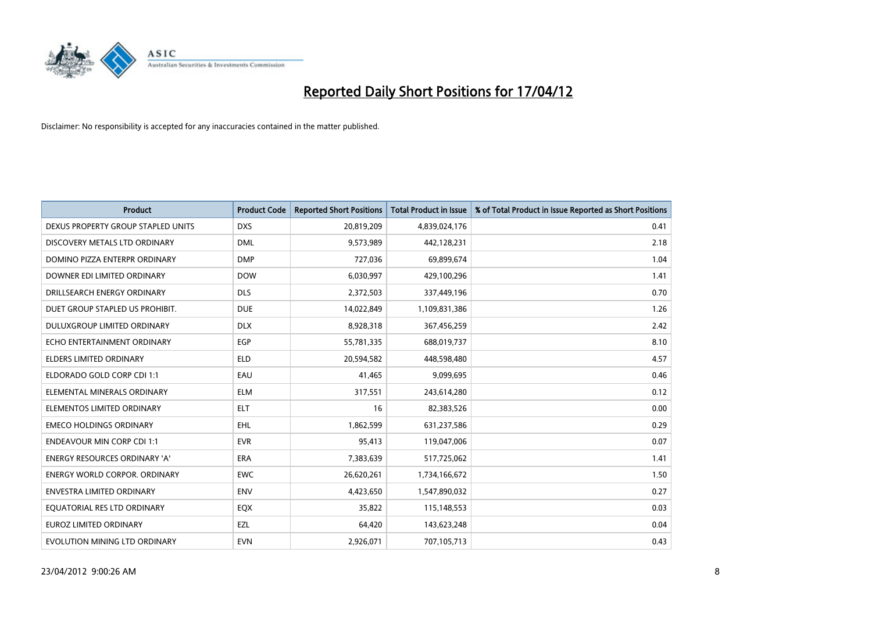

| <b>Product</b>                       | <b>Product Code</b> | <b>Reported Short Positions</b> | <b>Total Product in Issue</b> | % of Total Product in Issue Reported as Short Positions |
|--------------------------------------|---------------------|---------------------------------|-------------------------------|---------------------------------------------------------|
| DEXUS PROPERTY GROUP STAPLED UNITS   | <b>DXS</b>          | 20,819,209                      | 4,839,024,176                 | 0.41                                                    |
| DISCOVERY METALS LTD ORDINARY        | <b>DML</b>          | 9,573,989                       | 442,128,231                   | 2.18                                                    |
| DOMINO PIZZA ENTERPR ORDINARY        | <b>DMP</b>          | 727,036                         | 69,899,674                    | 1.04                                                    |
| DOWNER EDI LIMITED ORDINARY          | <b>DOW</b>          | 6,030,997                       | 429,100,296                   | 1.41                                                    |
| DRILLSEARCH ENERGY ORDINARY          | <b>DLS</b>          | 2,372,503                       | 337,449,196                   | 0.70                                                    |
| DUET GROUP STAPLED US PROHIBIT.      | <b>DUE</b>          | 14,022,849                      | 1,109,831,386                 | 1.26                                                    |
| <b>DULUXGROUP LIMITED ORDINARY</b>   | <b>DLX</b>          | 8,928,318                       | 367,456,259                   | 2.42                                                    |
| ECHO ENTERTAINMENT ORDINARY          | <b>EGP</b>          | 55,781,335                      | 688,019,737                   | 8.10                                                    |
| <b>ELDERS LIMITED ORDINARY</b>       | <b>ELD</b>          | 20,594,582                      | 448,598,480                   | 4.57                                                    |
| ELDORADO GOLD CORP CDI 1:1           | EAU                 | 41,465                          | 9,099,695                     | 0.46                                                    |
| ELEMENTAL MINERALS ORDINARY          | <b>ELM</b>          | 317,551                         | 243,614,280                   | 0.12                                                    |
| ELEMENTOS LIMITED ORDINARY           | ELT                 | 16                              | 82,383,526                    | 0.00                                                    |
| <b>EMECO HOLDINGS ORDINARY</b>       | EHL                 | 1,862,599                       | 631,237,586                   | 0.29                                                    |
| <b>ENDEAVOUR MIN CORP CDI 1:1</b>    | <b>EVR</b>          | 95,413                          | 119,047,006                   | 0.07                                                    |
| <b>ENERGY RESOURCES ORDINARY 'A'</b> | <b>ERA</b>          | 7,383,639                       | 517,725,062                   | 1.41                                                    |
| <b>ENERGY WORLD CORPOR, ORDINARY</b> | <b>EWC</b>          | 26,620,261                      | 1,734,166,672                 | 1.50                                                    |
| <b>ENVESTRA LIMITED ORDINARY</b>     | ENV                 | 4,423,650                       | 1,547,890,032                 | 0.27                                                    |
| EQUATORIAL RES LTD ORDINARY          | EQX                 | 35,822                          | 115,148,553                   | 0.03                                                    |
| <b>EUROZ LIMITED ORDINARY</b>        | EZL                 | 64,420                          | 143,623,248                   | 0.04                                                    |
| EVOLUTION MINING LTD ORDINARY        | <b>EVN</b>          | 2,926,071                       | 707,105,713                   | 0.43                                                    |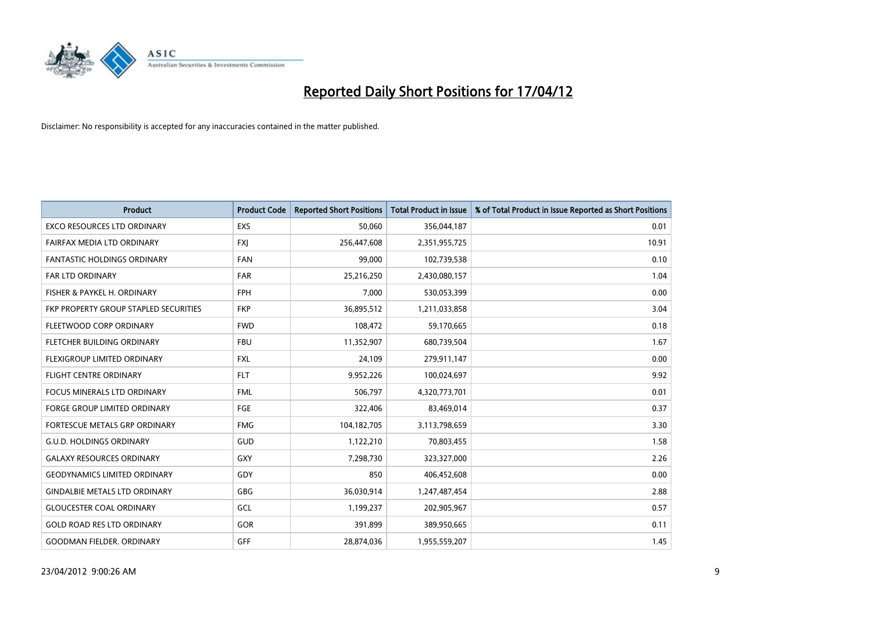

| <b>Product</b>                        | <b>Product Code</b> | <b>Reported Short Positions</b> | <b>Total Product in Issue</b> | % of Total Product in Issue Reported as Short Positions |
|---------------------------------------|---------------------|---------------------------------|-------------------------------|---------------------------------------------------------|
| <b>EXCO RESOURCES LTD ORDINARY</b>    | <b>EXS</b>          | 50,060                          | 356,044,187                   | 0.01                                                    |
| FAIRFAX MEDIA LTD ORDINARY            | <b>FXI</b>          | 256,447,608                     | 2,351,955,725                 | 10.91                                                   |
| <b>FANTASTIC HOLDINGS ORDINARY</b>    | <b>FAN</b>          | 99,000                          | 102,739,538                   | 0.10                                                    |
| <b>FAR LTD ORDINARY</b>               | <b>FAR</b>          | 25,216,250                      | 2,430,080,157                 | 1.04                                                    |
| FISHER & PAYKEL H. ORDINARY           | <b>FPH</b>          | 7,000                           | 530,053,399                   | 0.00                                                    |
| FKP PROPERTY GROUP STAPLED SECURITIES | <b>FKP</b>          | 36,895,512                      | 1,211,033,858                 | 3.04                                                    |
| FLEETWOOD CORP ORDINARY               | <b>FWD</b>          | 108,472                         | 59,170,665                    | 0.18                                                    |
| FLETCHER BUILDING ORDINARY            | <b>FBU</b>          | 11,352,907                      | 680,739,504                   | 1.67                                                    |
| FLEXIGROUP LIMITED ORDINARY           | <b>FXL</b>          | 24,109                          | 279,911,147                   | 0.00                                                    |
| <b>FLIGHT CENTRE ORDINARY</b>         | <b>FLT</b>          | 9,952,226                       | 100,024,697                   | 9.92                                                    |
| FOCUS MINERALS LTD ORDINARY           | <b>FML</b>          | 506,797                         | 4,320,773,701                 | 0.01                                                    |
| <b>FORGE GROUP LIMITED ORDINARY</b>   | <b>FGE</b>          | 322,406                         | 83,469,014                    | 0.37                                                    |
| FORTESCUE METALS GRP ORDINARY         | <b>FMG</b>          | 104,182,705                     | 3,113,798,659                 | 3.30                                                    |
| <b>G.U.D. HOLDINGS ORDINARY</b>       | GUD                 | 1,122,210                       | 70,803,455                    | 1.58                                                    |
| <b>GALAXY RESOURCES ORDINARY</b>      | <b>GXY</b>          | 7,298,730                       | 323,327,000                   | 2.26                                                    |
| <b>GEODYNAMICS LIMITED ORDINARY</b>   | GDY                 | 850                             | 406,452,608                   | 0.00                                                    |
| <b>GINDALBIE METALS LTD ORDINARY</b>  | GBG                 | 36,030,914                      | 1,247,487,454                 | 2.88                                                    |
| <b>GLOUCESTER COAL ORDINARY</b>       | GCL                 | 1,199,237                       | 202,905,967                   | 0.57                                                    |
| <b>GOLD ROAD RES LTD ORDINARY</b>     | GOR                 | 391,899                         | 389,950,665                   | 0.11                                                    |
| <b>GOODMAN FIELDER. ORDINARY</b>      | GFF                 | 28,874,036                      | 1,955,559,207                 | 1.45                                                    |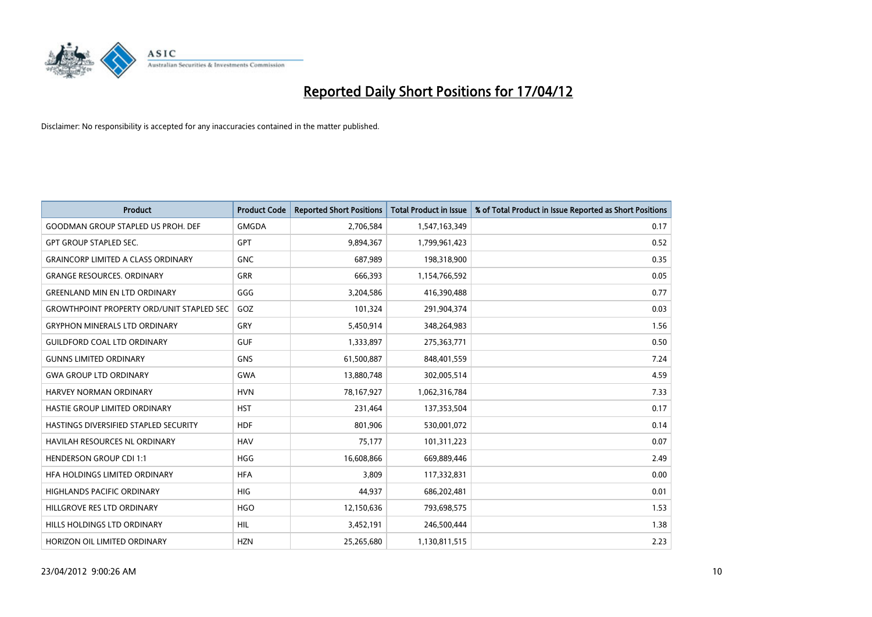

| Product                                          | <b>Product Code</b> | <b>Reported Short Positions</b> | <b>Total Product in Issue</b> | % of Total Product in Issue Reported as Short Positions |
|--------------------------------------------------|---------------------|---------------------------------|-------------------------------|---------------------------------------------------------|
| <b>GOODMAN GROUP STAPLED US PROH. DEF</b>        | <b>GMGDA</b>        | 2,706,584                       | 1,547,163,349                 | 0.17                                                    |
| <b>GPT GROUP STAPLED SEC.</b>                    | <b>GPT</b>          | 9,894,367                       | 1,799,961,423                 | 0.52                                                    |
| <b>GRAINCORP LIMITED A CLASS ORDINARY</b>        | <b>GNC</b>          | 687,989                         | 198,318,900                   | 0.35                                                    |
| <b>GRANGE RESOURCES, ORDINARY</b>                | GRR                 | 666,393                         | 1,154,766,592                 | 0.05                                                    |
| <b>GREENLAND MIN EN LTD ORDINARY</b>             | GGG                 | 3,204,586                       | 416,390,488                   | 0.77                                                    |
| <b>GROWTHPOINT PROPERTY ORD/UNIT STAPLED SEC</b> | GOZ                 | 101,324                         | 291,904,374                   | 0.03                                                    |
| <b>GRYPHON MINERALS LTD ORDINARY</b>             | GRY                 | 5,450,914                       | 348,264,983                   | 1.56                                                    |
| <b>GUILDFORD COAL LTD ORDINARY</b>               | <b>GUF</b>          | 1,333,897                       | 275,363,771                   | 0.50                                                    |
| <b>GUNNS LIMITED ORDINARY</b>                    | <b>GNS</b>          | 61,500,887                      | 848,401,559                   | 7.24                                                    |
| <b>GWA GROUP LTD ORDINARY</b>                    | <b>GWA</b>          | 13,880,748                      | 302,005,514                   | 4.59                                                    |
| <b>HARVEY NORMAN ORDINARY</b>                    | <b>HVN</b>          | 78,167,927                      | 1,062,316,784                 | 7.33                                                    |
| HASTIE GROUP LIMITED ORDINARY                    | <b>HST</b>          | 231,464                         | 137,353,504                   | 0.17                                                    |
| HASTINGS DIVERSIFIED STAPLED SECURITY            | <b>HDF</b>          | 801,906                         | 530,001,072                   | 0.14                                                    |
| <b>HAVILAH RESOURCES NL ORDINARY</b>             | <b>HAV</b>          | 75,177                          | 101,311,223                   | 0.07                                                    |
| <b>HENDERSON GROUP CDI 1:1</b>                   | <b>HGG</b>          | 16,608,866                      | 669,889,446                   | 2.49                                                    |
| HFA HOLDINGS LIMITED ORDINARY                    | <b>HFA</b>          | 3,809                           | 117,332,831                   | 0.00                                                    |
| HIGHLANDS PACIFIC ORDINARY                       | <b>HIG</b>          | 44,937                          | 686,202,481                   | 0.01                                                    |
| HILLGROVE RES LTD ORDINARY                       | <b>HGO</b>          | 12,150,636                      | 793,698,575                   | 1.53                                                    |
| HILLS HOLDINGS LTD ORDINARY                      | <b>HIL</b>          | 3,452,191                       | 246,500,444                   | 1.38                                                    |
| HORIZON OIL LIMITED ORDINARY                     | <b>HZN</b>          | 25,265,680                      | 1,130,811,515                 | 2.23                                                    |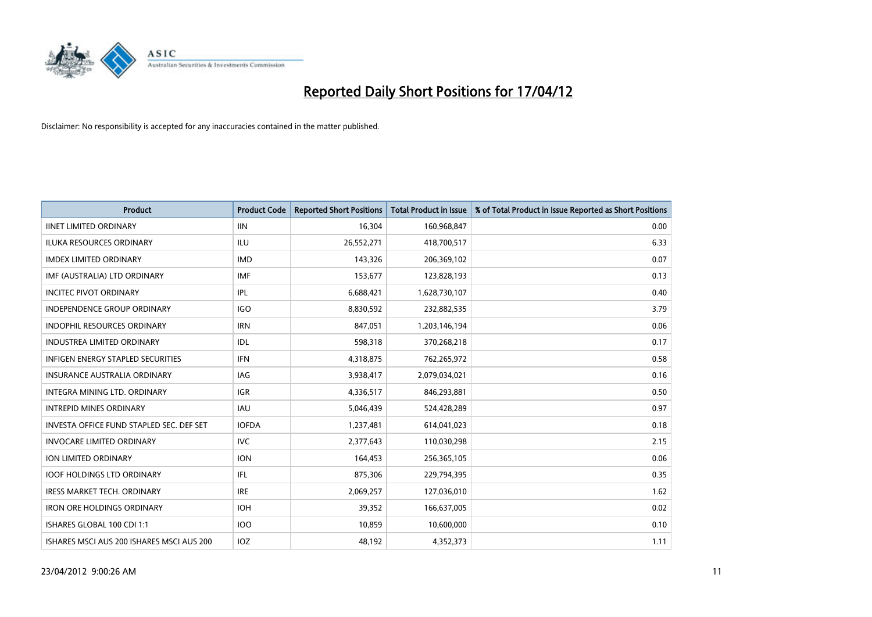

| <b>Product</b>                            | <b>Product Code</b> | <b>Reported Short Positions</b> | <b>Total Product in Issue</b> | % of Total Product in Issue Reported as Short Positions |
|-------------------------------------------|---------------------|---------------------------------|-------------------------------|---------------------------------------------------------|
| <b>IINET LIMITED ORDINARY</b>             | <b>IIN</b>          | 16,304                          | 160,968,847                   | 0.00                                                    |
| ILUKA RESOURCES ORDINARY                  | ILU                 | 26,552,271                      | 418,700,517                   | 6.33                                                    |
| <b>IMDEX LIMITED ORDINARY</b>             | <b>IMD</b>          | 143,326                         | 206,369,102                   | 0.07                                                    |
| IMF (AUSTRALIA) LTD ORDINARY              | <b>IMF</b>          | 153,677                         | 123,828,193                   | 0.13                                                    |
| <b>INCITEC PIVOT ORDINARY</b>             | IPL                 | 6,688,421                       | 1,628,730,107                 | 0.40                                                    |
| <b>INDEPENDENCE GROUP ORDINARY</b>        | <b>IGO</b>          | 8,830,592                       | 232,882,535                   | 3.79                                                    |
| <b>INDOPHIL RESOURCES ORDINARY</b>        | <b>IRN</b>          | 847,051                         | 1,203,146,194                 | 0.06                                                    |
| <b>INDUSTREA LIMITED ORDINARY</b>         | IDL                 | 598,318                         | 370,268,218                   | 0.17                                                    |
| INFIGEN ENERGY STAPLED SECURITIES         | <b>IFN</b>          | 4,318,875                       | 762,265,972                   | 0.58                                                    |
| INSURANCE AUSTRALIA ORDINARY              | IAG                 | 3,938,417                       | 2,079,034,021                 | 0.16                                                    |
| INTEGRA MINING LTD, ORDINARY              | <b>IGR</b>          | 4,336,517                       | 846,293,881                   | 0.50                                                    |
| <b>INTREPID MINES ORDINARY</b>            | IAU                 | 5,046,439                       | 524,428,289                   | 0.97                                                    |
| INVESTA OFFICE FUND STAPLED SEC. DEF SET  | <b>IOFDA</b>        | 1,237,481                       | 614,041,023                   | 0.18                                                    |
| <b>INVOCARE LIMITED ORDINARY</b>          | <b>IVC</b>          | 2,377,643                       | 110,030,298                   | 2.15                                                    |
| <b>ION LIMITED ORDINARY</b>               | <b>ION</b>          | 164,453                         | 256,365,105                   | 0.06                                                    |
| <b>IOOF HOLDINGS LTD ORDINARY</b>         | IFL                 | 875,306                         | 229,794,395                   | 0.35                                                    |
| <b>IRESS MARKET TECH. ORDINARY</b>        | <b>IRE</b>          | 2,069,257                       | 127,036,010                   | 1.62                                                    |
| <b>IRON ORE HOLDINGS ORDINARY</b>         | <b>IOH</b>          | 39,352                          | 166,637,005                   | 0.02                                                    |
| ISHARES GLOBAL 100 CDI 1:1                | 100                 | 10,859                          | 10,600,000                    | 0.10                                                    |
| ISHARES MSCI AUS 200 ISHARES MSCI AUS 200 | IOZ                 | 48,192                          | 4,352,373                     | 1.11                                                    |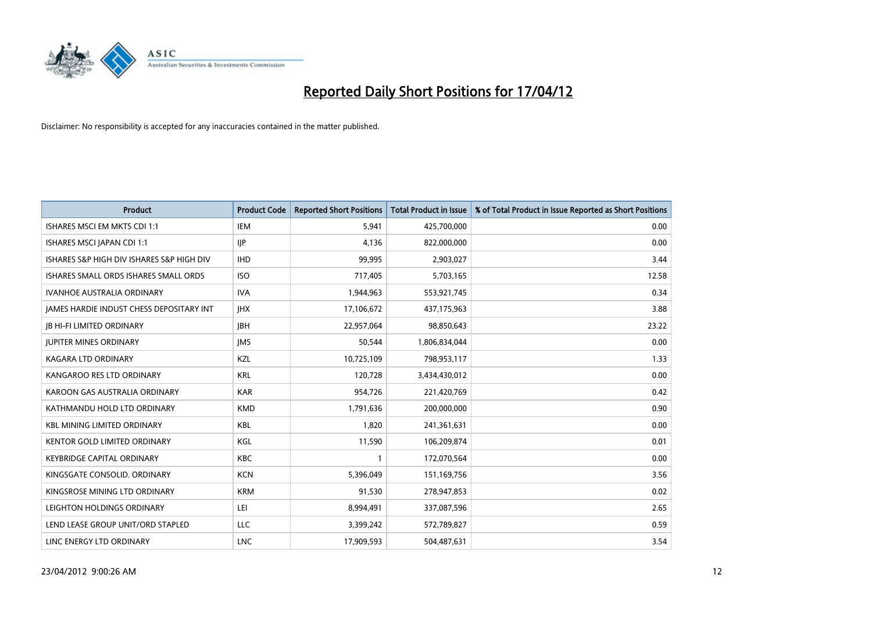

| <b>Product</b>                            | <b>Product Code</b> | <b>Reported Short Positions</b> | <b>Total Product in Issue</b> | % of Total Product in Issue Reported as Short Positions |
|-------------------------------------------|---------------------|---------------------------------|-------------------------------|---------------------------------------------------------|
| ISHARES MSCI EM MKTS CDI 1:1              | <b>IEM</b>          | 5,941                           | 425,700,000                   | 0.00                                                    |
| ISHARES MSCI JAPAN CDI 1:1                | <b>IJP</b>          | 4,136                           | 822,000,000                   | 0.00                                                    |
| ISHARES S&P HIGH DIV ISHARES S&P HIGH DIV | <b>IHD</b>          | 99,995                          | 2,903,027                     | 3.44                                                    |
| ISHARES SMALL ORDS ISHARES SMALL ORDS     | <b>ISO</b>          | 717,405                         | 5,703,165                     | 12.58                                                   |
| <b>IVANHOE AUSTRALIA ORDINARY</b>         | <b>IVA</b>          | 1,944,963                       | 553,921,745                   | 0.34                                                    |
| JAMES HARDIE INDUST CHESS DEPOSITARY INT  | <b>IHX</b>          | 17,106,672                      | 437,175,963                   | 3.88                                                    |
| <b>JB HI-FI LIMITED ORDINARY</b>          | <b>IBH</b>          | 22,957,064                      | 98,850,643                    | 23.22                                                   |
| <b>JUPITER MINES ORDINARY</b>             | <b>IMS</b>          | 50,544                          | 1,806,834,044                 | 0.00                                                    |
| <b>KAGARA LTD ORDINARY</b>                | KZL                 | 10,725,109                      | 798,953,117                   | 1.33                                                    |
| KANGAROO RES LTD ORDINARY                 | <b>KRL</b>          | 120,728                         | 3,434,430,012                 | 0.00                                                    |
| KAROON GAS AUSTRALIA ORDINARY             | <b>KAR</b>          | 954,726                         | 221,420,769                   | 0.42                                                    |
| KATHMANDU HOLD LTD ORDINARY               | <b>KMD</b>          | 1,791,636                       | 200,000,000                   | 0.90                                                    |
| <b>KBL MINING LIMITED ORDINARY</b>        | <b>KBL</b>          | 1,820                           | 241,361,631                   | 0.00                                                    |
| <b>KENTOR GOLD LIMITED ORDINARY</b>       | KGL                 | 11,590                          | 106,209,874                   | 0.01                                                    |
| <b>KEYBRIDGE CAPITAL ORDINARY</b>         | <b>KBC</b>          | 1                               | 172,070,564                   | 0.00                                                    |
| KINGSGATE CONSOLID. ORDINARY              | <b>KCN</b>          | 5,396,049                       | 151,169,756                   | 3.56                                                    |
| KINGSROSE MINING LTD ORDINARY             | <b>KRM</b>          | 91,530                          | 278,947,853                   | 0.02                                                    |
| LEIGHTON HOLDINGS ORDINARY                | LEI                 | 8,994,491                       | 337,087,596                   | 2.65                                                    |
| LEND LEASE GROUP UNIT/ORD STAPLED         | LLC                 | 3,399,242                       | 572,789,827                   | 0.59                                                    |
| LINC ENERGY LTD ORDINARY                  | LNC                 | 17,909,593                      | 504,487,631                   | 3.54                                                    |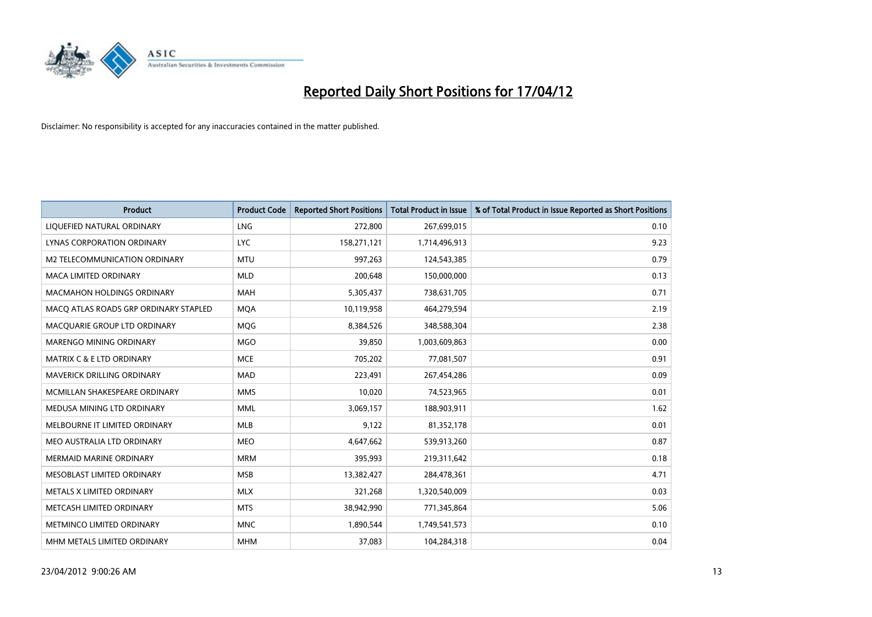

| <b>Product</b>                        | <b>Product Code</b> | <b>Reported Short Positions</b> | <b>Total Product in Issue</b> | % of Total Product in Issue Reported as Short Positions |
|---------------------------------------|---------------------|---------------------------------|-------------------------------|---------------------------------------------------------|
| LIQUEFIED NATURAL ORDINARY            | LNG                 | 272,800                         | 267,699,015                   | 0.10                                                    |
| <b>LYNAS CORPORATION ORDINARY</b>     | <b>LYC</b>          | 158,271,121                     | 1,714,496,913                 | 9.23                                                    |
| M2 TELECOMMUNICATION ORDINARY         | <b>MTU</b>          | 997,263                         | 124,543,385                   | 0.79                                                    |
| <b>MACA LIMITED ORDINARY</b>          | <b>MLD</b>          | 200,648                         | 150,000,000                   | 0.13                                                    |
| <b>MACMAHON HOLDINGS ORDINARY</b>     | <b>MAH</b>          | 5,305,437                       | 738,631,705                   | 0.71                                                    |
| MACO ATLAS ROADS GRP ORDINARY STAPLED | <b>MQA</b>          | 10,119,958                      | 464,279,594                   | 2.19                                                    |
| MACQUARIE GROUP LTD ORDINARY          | <b>MOG</b>          | 8,384,526                       | 348,588,304                   | 2.38                                                    |
| MARENGO MINING ORDINARY               | <b>MGO</b>          | 39,850                          | 1,003,609,863                 | 0.00                                                    |
| <b>MATRIX C &amp; E LTD ORDINARY</b>  | <b>MCE</b>          | 705,202                         | 77,081,507                    | 0.91                                                    |
| MAVERICK DRILLING ORDINARY            | <b>MAD</b>          | 223,491                         | 267,454,286                   | 0.09                                                    |
| MCMILLAN SHAKESPEARE ORDINARY         | <b>MMS</b>          | 10,020                          | 74,523,965                    | 0.01                                                    |
| MEDUSA MINING LTD ORDINARY            | <b>MML</b>          | 3,069,157                       | 188,903,911                   | 1.62                                                    |
| MELBOURNE IT LIMITED ORDINARY         | <b>MLB</b>          | 9,122                           | 81,352,178                    | 0.01                                                    |
| MEO AUSTRALIA LTD ORDINARY            | <b>MEO</b>          | 4,647,662                       | 539,913,260                   | 0.87                                                    |
| <b>MERMAID MARINE ORDINARY</b>        | <b>MRM</b>          | 395,993                         | 219,311,642                   | 0.18                                                    |
| MESOBLAST LIMITED ORDINARY            | <b>MSB</b>          | 13,382,427                      | 284,478,361                   | 4.71                                                    |
| METALS X LIMITED ORDINARY             | <b>MLX</b>          | 321,268                         | 1,320,540,009                 | 0.03                                                    |
| METCASH LIMITED ORDINARY              | <b>MTS</b>          | 38,942,990                      | 771,345,864                   | 5.06                                                    |
| METMINCO LIMITED ORDINARY             | <b>MNC</b>          | 1,890,544                       | 1,749,541,573                 | 0.10                                                    |
| MHM METALS LIMITED ORDINARY           | <b>MHM</b>          | 37,083                          | 104,284,318                   | 0.04                                                    |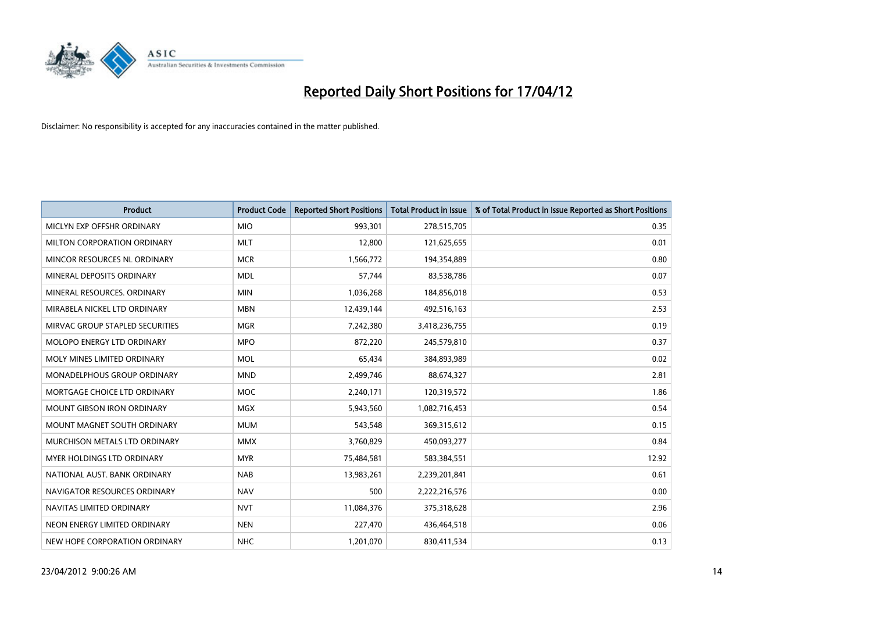

| <b>Product</b>                    | <b>Product Code</b> | <b>Reported Short Positions</b> | <b>Total Product in Issue</b> | % of Total Product in Issue Reported as Short Positions |
|-----------------------------------|---------------------|---------------------------------|-------------------------------|---------------------------------------------------------|
| MICLYN EXP OFFSHR ORDINARY        | <b>MIO</b>          | 993,301                         | 278,515,705                   | 0.35                                                    |
| MILTON CORPORATION ORDINARY       | <b>MLT</b>          | 12,800                          | 121,625,655                   | 0.01                                                    |
| MINCOR RESOURCES NL ORDINARY      | <b>MCR</b>          | 1,566,772                       | 194,354,889                   | 0.80                                                    |
| MINERAL DEPOSITS ORDINARY         | <b>MDL</b>          | 57,744                          | 83,538,786                    | 0.07                                                    |
| MINERAL RESOURCES, ORDINARY       | <b>MIN</b>          | 1,036,268                       | 184,856,018                   | 0.53                                                    |
| MIRABELA NICKEL LTD ORDINARY      | <b>MBN</b>          | 12,439,144                      | 492,516,163                   | 2.53                                                    |
| MIRVAC GROUP STAPLED SECURITIES   | <b>MGR</b>          | 7,242,380                       | 3,418,236,755                 | 0.19                                                    |
| MOLOPO ENERGY LTD ORDINARY        | <b>MPO</b>          | 872,220                         | 245,579,810                   | 0.37                                                    |
| MOLY MINES LIMITED ORDINARY       | <b>MOL</b>          | 65,434                          | 384,893,989                   | 0.02                                                    |
| MONADELPHOUS GROUP ORDINARY       | <b>MND</b>          | 2,499,746                       | 88,674,327                    | 2.81                                                    |
| MORTGAGE CHOICE LTD ORDINARY      | <b>MOC</b>          | 2,240,171                       | 120,319,572                   | 1.86                                                    |
| <b>MOUNT GIBSON IRON ORDINARY</b> | <b>MGX</b>          | 5,943,560                       | 1,082,716,453                 | 0.54                                                    |
| MOUNT MAGNET SOUTH ORDINARY       | <b>MUM</b>          | 543,548                         | 369,315,612                   | 0.15                                                    |
| MURCHISON METALS LTD ORDINARY     | <b>MMX</b>          | 3,760,829                       | 450,093,277                   | 0.84                                                    |
| MYER HOLDINGS LTD ORDINARY        | <b>MYR</b>          | 75,484,581                      | 583,384,551                   | 12.92                                                   |
| NATIONAL AUST. BANK ORDINARY      | <b>NAB</b>          | 13,983,261                      | 2,239,201,841                 | 0.61                                                    |
| NAVIGATOR RESOURCES ORDINARY      | <b>NAV</b>          | 500                             | 2,222,216,576                 | 0.00                                                    |
| NAVITAS LIMITED ORDINARY          | <b>NVT</b>          | 11,084,376                      | 375,318,628                   | 2.96                                                    |
| NEON ENERGY LIMITED ORDINARY      | <b>NEN</b>          | 227,470                         | 436,464,518                   | 0.06                                                    |
| NEW HOPE CORPORATION ORDINARY     | <b>NHC</b>          | 1,201,070                       | 830,411,534                   | 0.13                                                    |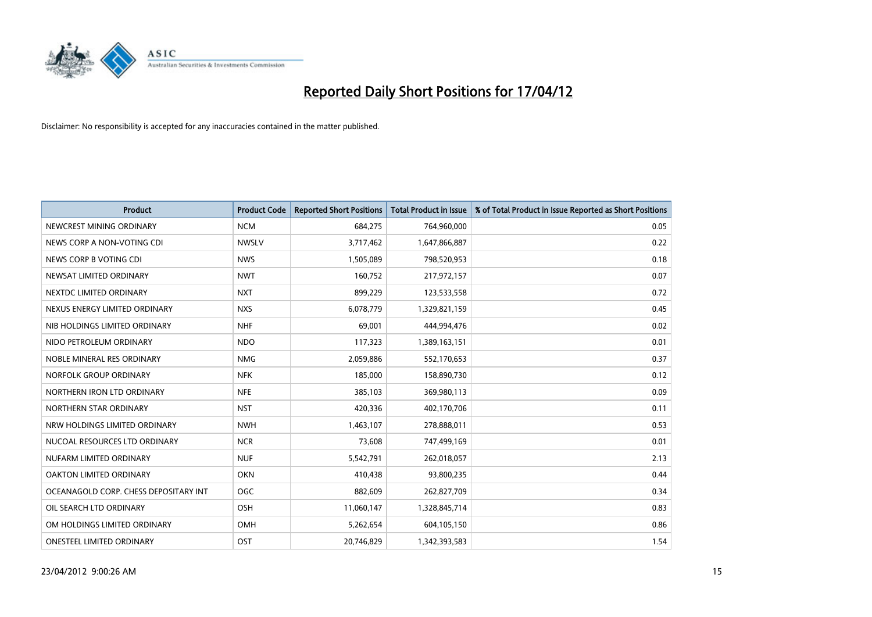

| <b>Product</b>                        | <b>Product Code</b> | <b>Reported Short Positions</b> | <b>Total Product in Issue</b> | % of Total Product in Issue Reported as Short Positions |
|---------------------------------------|---------------------|---------------------------------|-------------------------------|---------------------------------------------------------|
| NEWCREST MINING ORDINARY              | <b>NCM</b>          | 684,275                         | 764,960,000                   | 0.05                                                    |
| NEWS CORP A NON-VOTING CDI            | <b>NWSLV</b>        | 3,717,462                       | 1,647,866,887                 | 0.22                                                    |
| NEWS CORP B VOTING CDI                | <b>NWS</b>          | 1,505,089                       | 798,520,953                   | 0.18                                                    |
| NEWSAT LIMITED ORDINARY               | <b>NWT</b>          | 160,752                         | 217,972,157                   | 0.07                                                    |
| NEXTDC LIMITED ORDINARY               | <b>NXT</b>          | 899,229                         | 123,533,558                   | 0.72                                                    |
| NEXUS ENERGY LIMITED ORDINARY         | <b>NXS</b>          | 6,078,779                       | 1,329,821,159                 | 0.45                                                    |
| NIB HOLDINGS LIMITED ORDINARY         | <b>NHF</b>          | 69.001                          | 444,994,476                   | 0.02                                                    |
| NIDO PETROLEUM ORDINARY               | <b>NDO</b>          | 117,323                         | 1,389,163,151                 | 0.01                                                    |
| NOBLE MINERAL RES ORDINARY            | <b>NMG</b>          | 2,059,886                       | 552,170,653                   | 0.37                                                    |
| NORFOLK GROUP ORDINARY                | <b>NFK</b>          | 185,000                         | 158,890,730                   | 0.12                                                    |
| NORTHERN IRON LTD ORDINARY            | <b>NFE</b>          | 385,103                         | 369,980,113                   | 0.09                                                    |
| NORTHERN STAR ORDINARY                | <b>NST</b>          | 420,336                         | 402,170,706                   | 0.11                                                    |
| NRW HOLDINGS LIMITED ORDINARY         | <b>NWH</b>          | 1,463,107                       | 278,888,011                   | 0.53                                                    |
| NUCOAL RESOURCES LTD ORDINARY         | <b>NCR</b>          | 73.608                          | 747,499,169                   | 0.01                                                    |
| NUFARM LIMITED ORDINARY               | <b>NUF</b>          | 5,542,791                       | 262,018,057                   | 2.13                                                    |
| OAKTON LIMITED ORDINARY               | <b>OKN</b>          | 410,438                         | 93,800,235                    | 0.44                                                    |
| OCEANAGOLD CORP. CHESS DEPOSITARY INT | <b>OGC</b>          | 882,609                         | 262,827,709                   | 0.34                                                    |
| OIL SEARCH LTD ORDINARY               | OSH                 | 11,060,147                      | 1,328,845,714                 | 0.83                                                    |
| OM HOLDINGS LIMITED ORDINARY          | OMH                 | 5,262,654                       | 604,105,150                   | 0.86                                                    |
| <b>ONESTEEL LIMITED ORDINARY</b>      | OST                 | 20,746,829                      | 1,342,393,583                 | 1.54                                                    |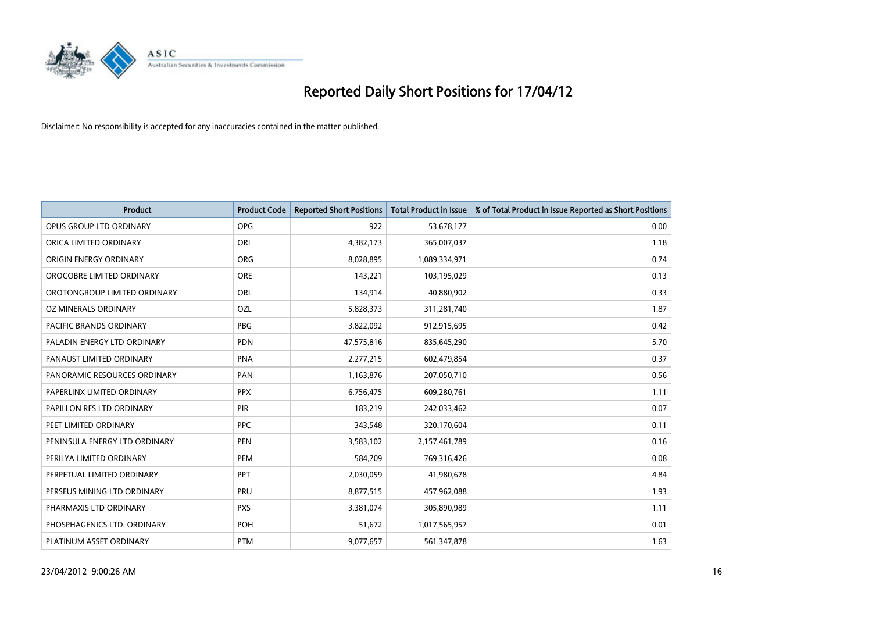

| <b>Product</b>                | <b>Product Code</b> | <b>Reported Short Positions</b> | <b>Total Product in Issue</b> | % of Total Product in Issue Reported as Short Positions |
|-------------------------------|---------------------|---------------------------------|-------------------------------|---------------------------------------------------------|
| OPUS GROUP LTD ORDINARY       | OPG                 | 922                             | 53,678,177                    | 0.00                                                    |
| ORICA LIMITED ORDINARY        | ORI                 | 4,382,173                       | 365,007,037                   | 1.18                                                    |
| ORIGIN ENERGY ORDINARY        | <b>ORG</b>          | 8,028,895                       | 1,089,334,971                 | 0.74                                                    |
| OROCOBRE LIMITED ORDINARY     | <b>ORE</b>          | 143,221                         | 103,195,029                   | 0.13                                                    |
| OROTONGROUP LIMITED ORDINARY  | ORL                 | 134,914                         | 40,880,902                    | 0.33                                                    |
| OZ MINERALS ORDINARY          | OZL                 | 5,828,373                       | 311,281,740                   | 1.87                                                    |
| PACIFIC BRANDS ORDINARY       | PBG                 | 3,822,092                       | 912,915,695                   | 0.42                                                    |
| PALADIN ENERGY LTD ORDINARY   | <b>PDN</b>          | 47,575,816                      | 835,645,290                   | 5.70                                                    |
| PANAUST LIMITED ORDINARY      | <b>PNA</b>          | 2,277,215                       | 602,479,854                   | 0.37                                                    |
| PANORAMIC RESOURCES ORDINARY  | PAN                 | 1,163,876                       | 207,050,710                   | 0.56                                                    |
| PAPERLINX LIMITED ORDINARY    | <b>PPX</b>          | 6,756,475                       | 609,280,761                   | 1.11                                                    |
| PAPILLON RES LTD ORDINARY     | <b>PIR</b>          | 183,219                         | 242,033,462                   | 0.07                                                    |
| PEET LIMITED ORDINARY         | <b>PPC</b>          | 343,548                         | 320,170,604                   | 0.11                                                    |
| PENINSULA ENERGY LTD ORDINARY | <b>PEN</b>          | 3,583,102                       | 2,157,461,789                 | 0.16                                                    |
| PERILYA LIMITED ORDINARY      | PEM                 | 584,709                         | 769,316,426                   | 0.08                                                    |
| PERPETUAL LIMITED ORDINARY    | PPT                 | 2,030,059                       | 41,980,678                    | 4.84                                                    |
| PERSEUS MINING LTD ORDINARY   | PRU                 | 8,877,515                       | 457,962,088                   | 1.93                                                    |
| PHARMAXIS LTD ORDINARY        | <b>PXS</b>          | 3,381,074                       | 305,890,989                   | 1.11                                                    |
| PHOSPHAGENICS LTD. ORDINARY   | <b>POH</b>          | 51,672                          | 1,017,565,957                 | 0.01                                                    |
| PLATINUM ASSET ORDINARY       | <b>PTM</b>          | 9,077,657                       | 561,347,878                   | 1.63                                                    |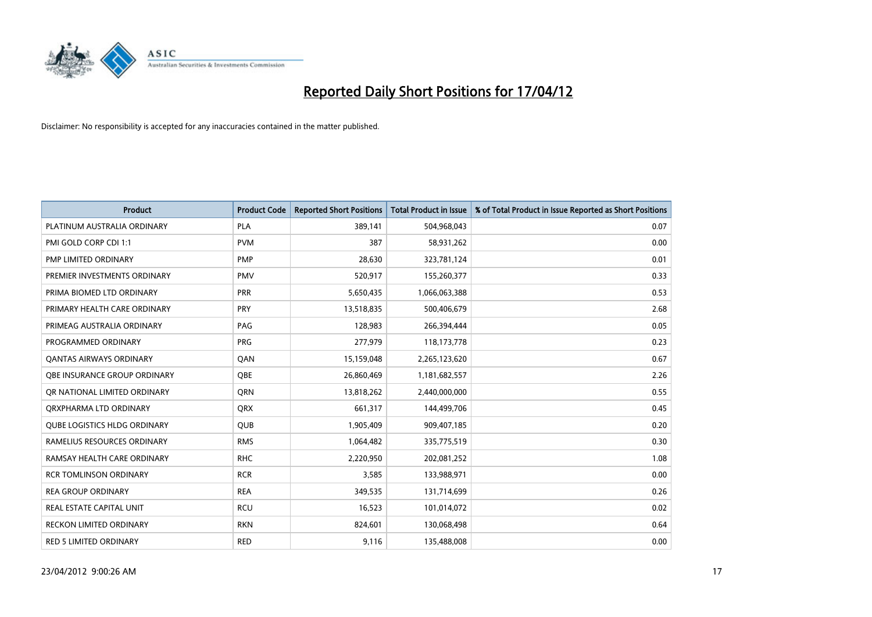

| <b>Product</b>                      | <b>Product Code</b> | <b>Reported Short Positions</b> | <b>Total Product in Issue</b> | % of Total Product in Issue Reported as Short Positions |
|-------------------------------------|---------------------|---------------------------------|-------------------------------|---------------------------------------------------------|
| PLATINUM AUSTRALIA ORDINARY         | <b>PLA</b>          | 389,141                         | 504,968,043                   | 0.07                                                    |
| PMI GOLD CORP CDI 1:1               | <b>PVM</b>          | 387                             | 58,931,262                    | 0.00                                                    |
| PMP LIMITED ORDINARY                | <b>PMP</b>          | 28,630                          | 323,781,124                   | 0.01                                                    |
| PREMIER INVESTMENTS ORDINARY        | <b>PMV</b>          | 520,917                         | 155,260,377                   | 0.33                                                    |
| PRIMA BIOMED LTD ORDINARY           | <b>PRR</b>          | 5,650,435                       | 1,066,063,388                 | 0.53                                                    |
| PRIMARY HEALTH CARE ORDINARY        | PRY                 | 13,518,835                      | 500,406,679                   | 2.68                                                    |
| PRIMEAG AUSTRALIA ORDINARY          | PAG                 | 128,983                         | 266,394,444                   | 0.05                                                    |
| PROGRAMMED ORDINARY                 | <b>PRG</b>          | 277,979                         | 118,173,778                   | 0.23                                                    |
| <b>QANTAS AIRWAYS ORDINARY</b>      | QAN                 | 15,159,048                      | 2,265,123,620                 | 0.67                                                    |
| OBE INSURANCE GROUP ORDINARY        | <b>OBE</b>          | 26,860,469                      | 1,181,682,557                 | 2.26                                                    |
| OR NATIONAL LIMITED ORDINARY        | QRN                 | 13,818,262                      | 2,440,000,000                 | 0.55                                                    |
| ORXPHARMA LTD ORDINARY              | <b>QRX</b>          | 661,317                         | 144,499,706                   | 0.45                                                    |
| <b>QUBE LOGISTICS HLDG ORDINARY</b> | <b>QUB</b>          | 1,905,409                       | 909,407,185                   | 0.20                                                    |
| RAMELIUS RESOURCES ORDINARY         | <b>RMS</b>          | 1,064,482                       | 335,775,519                   | 0.30                                                    |
| RAMSAY HEALTH CARE ORDINARY         | <b>RHC</b>          | 2,220,950                       | 202,081,252                   | 1.08                                                    |
| <b>RCR TOMLINSON ORDINARY</b>       | <b>RCR</b>          | 3,585                           | 133,988,971                   | 0.00                                                    |
| <b>REA GROUP ORDINARY</b>           | <b>REA</b>          | 349,535                         | 131,714,699                   | 0.26                                                    |
| <b>REAL ESTATE CAPITAL UNIT</b>     | <b>RCU</b>          | 16,523                          | 101,014,072                   | 0.02                                                    |
| <b>RECKON LIMITED ORDINARY</b>      | <b>RKN</b>          | 824,601                         | 130,068,498                   | 0.64                                                    |
| RED 5 LIMITED ORDINARY              | <b>RED</b>          | 9,116                           | 135,488,008                   | 0.00                                                    |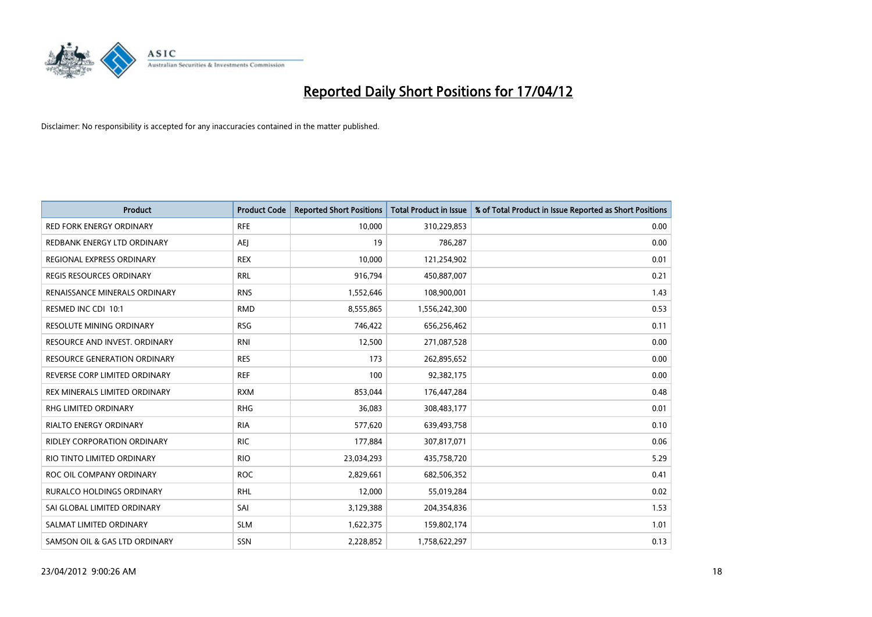

| <b>Product</b>                      | <b>Product Code</b> | <b>Reported Short Positions</b> | <b>Total Product in Issue</b> | % of Total Product in Issue Reported as Short Positions |
|-------------------------------------|---------------------|---------------------------------|-------------------------------|---------------------------------------------------------|
| <b>RED FORK ENERGY ORDINARY</b>     | <b>RFE</b>          | 10,000                          | 310,229,853                   | 0.00                                                    |
| REDBANK ENERGY LTD ORDINARY         | AEJ                 | 19                              | 786,287                       | 0.00                                                    |
| REGIONAL EXPRESS ORDINARY           | <b>REX</b>          | 10,000                          | 121,254,902                   | 0.01                                                    |
| REGIS RESOURCES ORDINARY            | <b>RRL</b>          | 916,794                         | 450,887,007                   | 0.21                                                    |
| RENAISSANCE MINERALS ORDINARY       | <b>RNS</b>          | 1,552,646                       | 108,900,001                   | 1.43                                                    |
| RESMED INC CDI 10:1                 | <b>RMD</b>          | 8,555,865                       | 1,556,242,300                 | 0.53                                                    |
| RESOLUTE MINING ORDINARY            | <b>RSG</b>          | 746,422                         | 656,256,462                   | 0.11                                                    |
| RESOURCE AND INVEST. ORDINARY       | <b>RNI</b>          | 12,500                          | 271,087,528                   | 0.00                                                    |
| <b>RESOURCE GENERATION ORDINARY</b> | <b>RES</b>          | 173                             | 262,895,652                   | 0.00                                                    |
| REVERSE CORP LIMITED ORDINARY       | <b>REF</b>          | 100                             | 92,382,175                    | 0.00                                                    |
| REX MINERALS LIMITED ORDINARY       | <b>RXM</b>          | 853,044                         | 176,447,284                   | 0.48                                                    |
| RHG LIMITED ORDINARY                | <b>RHG</b>          | 36,083                          | 308,483,177                   | 0.01                                                    |
| RIALTO ENERGY ORDINARY              | <b>RIA</b>          | 577,620                         | 639,493,758                   | 0.10                                                    |
| RIDLEY CORPORATION ORDINARY         | RIC.                | 177,884                         | 307,817,071                   | 0.06                                                    |
| RIO TINTO LIMITED ORDINARY          | <b>RIO</b>          | 23,034,293                      | 435,758,720                   | 5.29                                                    |
| ROC OIL COMPANY ORDINARY            | <b>ROC</b>          | 2,829,661                       | 682,506,352                   | 0.41                                                    |
| RURALCO HOLDINGS ORDINARY           | RHL                 | 12,000                          | 55,019,284                    | 0.02                                                    |
| SAI GLOBAL LIMITED ORDINARY         | SAI                 | 3,129,388                       | 204,354,836                   | 1.53                                                    |
| SALMAT LIMITED ORDINARY             | <b>SLM</b>          | 1,622,375                       | 159,802,174                   | 1.01                                                    |
| SAMSON OIL & GAS LTD ORDINARY       | SSN                 | 2,228,852                       | 1,758,622,297                 | 0.13                                                    |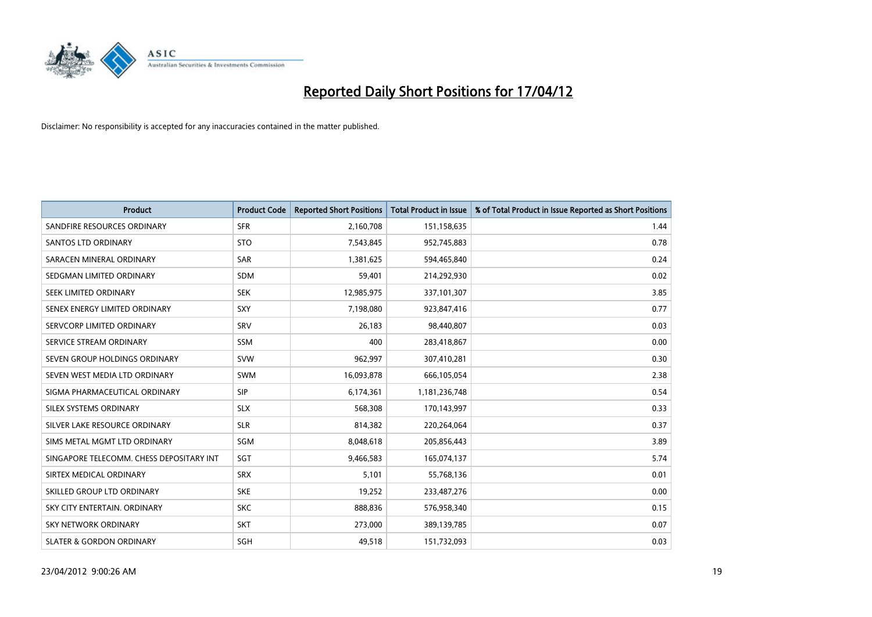

| <b>Product</b>                           | <b>Product Code</b> | <b>Reported Short Positions</b> | <b>Total Product in Issue</b> | % of Total Product in Issue Reported as Short Positions |
|------------------------------------------|---------------------|---------------------------------|-------------------------------|---------------------------------------------------------|
| SANDFIRE RESOURCES ORDINARY              | <b>SFR</b>          | 2,160,708                       | 151,158,635                   | 1.44                                                    |
| <b>SANTOS LTD ORDINARY</b>               | <b>STO</b>          | 7,543,845                       | 952,745,883                   | 0.78                                                    |
| SARACEN MINERAL ORDINARY                 | <b>SAR</b>          | 1,381,625                       | 594,465,840                   | 0.24                                                    |
| SEDGMAN LIMITED ORDINARY                 | <b>SDM</b>          | 59,401                          | 214,292,930                   | 0.02                                                    |
| SEEK LIMITED ORDINARY                    | <b>SEK</b>          | 12,985,975                      | 337,101,307                   | 3.85                                                    |
| SENEX ENERGY LIMITED ORDINARY            | SXY                 | 7,198,080                       | 923,847,416                   | 0.77                                                    |
| SERVCORP LIMITED ORDINARY                | SRV                 | 26,183                          | 98,440,807                    | 0.03                                                    |
| SERVICE STREAM ORDINARY                  | SSM                 | 400                             | 283,418,867                   | 0.00                                                    |
| SEVEN GROUP HOLDINGS ORDINARY            | <b>SVW</b>          | 962,997                         | 307,410,281                   | 0.30                                                    |
| SEVEN WEST MEDIA LTD ORDINARY            | <b>SWM</b>          | 16,093,878                      | 666,105,054                   | 2.38                                                    |
| SIGMA PHARMACEUTICAL ORDINARY            | <b>SIP</b>          | 6,174,361                       | 1,181,236,748                 | 0.54                                                    |
| SILEX SYSTEMS ORDINARY                   | <b>SLX</b>          | 568,308                         | 170,143,997                   | 0.33                                                    |
| SILVER LAKE RESOURCE ORDINARY            | <b>SLR</b>          | 814,382                         | 220,264,064                   | 0.37                                                    |
| SIMS METAL MGMT LTD ORDINARY             | SGM                 | 8,048,618                       | 205,856,443                   | 3.89                                                    |
| SINGAPORE TELECOMM. CHESS DEPOSITARY INT | SGT                 | 9,466,583                       | 165,074,137                   | 5.74                                                    |
| SIRTEX MEDICAL ORDINARY                  | <b>SRX</b>          | 5,101                           | 55,768,136                    | 0.01                                                    |
| SKILLED GROUP LTD ORDINARY               | <b>SKE</b>          | 19,252                          | 233,487,276                   | 0.00                                                    |
| SKY CITY ENTERTAIN, ORDINARY             | <b>SKC</b>          | 888,836                         | 576,958,340                   | 0.15                                                    |
| <b>SKY NETWORK ORDINARY</b>              | <b>SKT</b>          | 273,000                         | 389,139,785                   | 0.07                                                    |
| <b>SLATER &amp; GORDON ORDINARY</b>      | SGH                 | 49,518                          | 151,732,093                   | 0.03                                                    |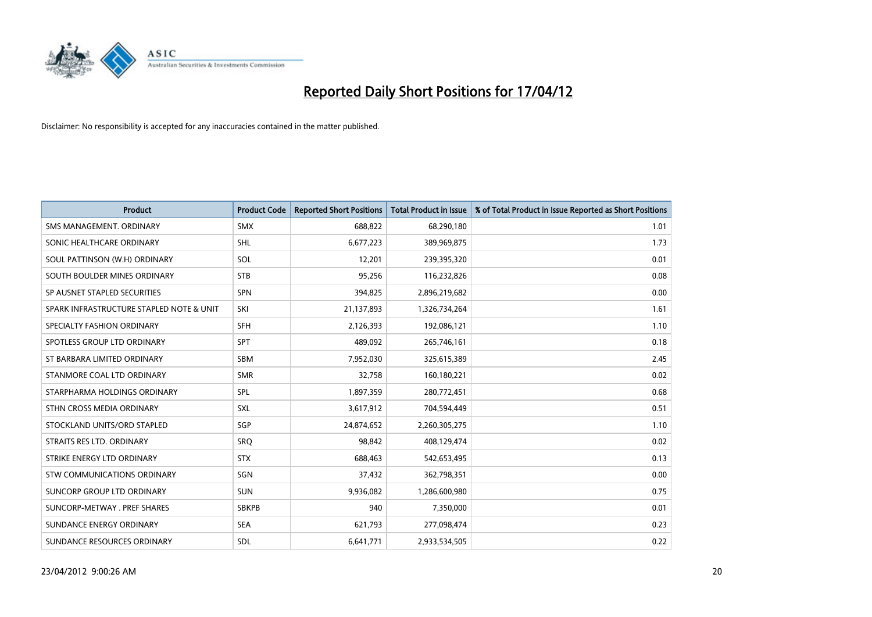

| <b>Product</b>                           | <b>Product Code</b> | <b>Reported Short Positions</b> | <b>Total Product in Issue</b> | % of Total Product in Issue Reported as Short Positions |
|------------------------------------------|---------------------|---------------------------------|-------------------------------|---------------------------------------------------------|
| SMS MANAGEMENT, ORDINARY                 | <b>SMX</b>          | 688,822                         | 68,290,180                    | 1.01                                                    |
| SONIC HEALTHCARE ORDINARY                | <b>SHL</b>          | 6,677,223                       | 389,969,875                   | 1.73                                                    |
| SOUL PATTINSON (W.H) ORDINARY            | SOL                 | 12,201                          | 239,395,320                   | 0.01                                                    |
| SOUTH BOULDER MINES ORDINARY             | <b>STB</b>          | 95,256                          | 116,232,826                   | 0.08                                                    |
| SP AUSNET STAPLED SECURITIES             | SPN                 | 394,825                         | 2,896,219,682                 | 0.00                                                    |
| SPARK INFRASTRUCTURE STAPLED NOTE & UNIT | SKI                 | 21,137,893                      | 1,326,734,264                 | 1.61                                                    |
| SPECIALTY FASHION ORDINARY               | <b>SFH</b>          | 2,126,393                       | 192,086,121                   | 1.10                                                    |
| SPOTLESS GROUP LTD ORDINARY              | <b>SPT</b>          | 489,092                         | 265,746,161                   | 0.18                                                    |
| ST BARBARA LIMITED ORDINARY              | <b>SBM</b>          | 7,952,030                       | 325,615,389                   | 2.45                                                    |
| STANMORE COAL LTD ORDINARY               | <b>SMR</b>          | 32,758                          | 160,180,221                   | 0.02                                                    |
| STARPHARMA HOLDINGS ORDINARY             | <b>SPL</b>          | 1,897,359                       | 280,772,451                   | 0.68                                                    |
| STHN CROSS MEDIA ORDINARY                | <b>SXL</b>          | 3,617,912                       | 704,594,449                   | 0.51                                                    |
| STOCKLAND UNITS/ORD STAPLED              | SGP                 | 24,874,652                      | 2,260,305,275                 | 1.10                                                    |
| STRAITS RES LTD. ORDINARY                | SRO                 | 98,842                          | 408,129,474                   | 0.02                                                    |
| STRIKE ENERGY LTD ORDINARY               | <b>STX</b>          | 688,463                         | 542,653,495                   | 0.13                                                    |
| STW COMMUNICATIONS ORDINARY              | SGN                 | 37,432                          | 362,798,351                   | 0.00                                                    |
| SUNCORP GROUP LTD ORDINARY               | <b>SUN</b>          | 9,936,082                       | 1,286,600,980                 | 0.75                                                    |
| SUNCORP-METWAY . PREF SHARES             | <b>SBKPB</b>        | 940                             | 7,350,000                     | 0.01                                                    |
| SUNDANCE ENERGY ORDINARY                 | <b>SEA</b>          | 621,793                         | 277,098,474                   | 0.23                                                    |
| SUNDANCE RESOURCES ORDINARY              | <b>SDL</b>          | 6,641,771                       | 2,933,534,505                 | 0.22                                                    |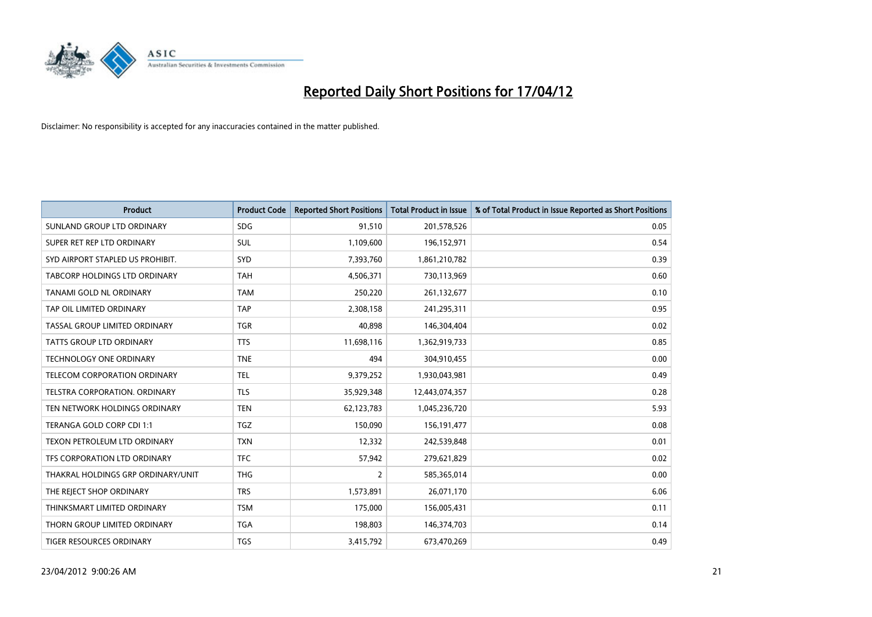

| <b>Product</b>                     | <b>Product Code</b> | <b>Reported Short Positions</b> | <b>Total Product in Issue</b> | % of Total Product in Issue Reported as Short Positions |
|------------------------------------|---------------------|---------------------------------|-------------------------------|---------------------------------------------------------|
| SUNLAND GROUP LTD ORDINARY         | <b>SDG</b>          | 91,510                          | 201,578,526                   | 0.05                                                    |
| SUPER RET REP LTD ORDINARY         | <b>SUL</b>          | 1,109,600                       | 196,152,971                   | 0.54                                                    |
| SYD AIRPORT STAPLED US PROHIBIT.   | <b>SYD</b>          | 7,393,760                       | 1,861,210,782                 | 0.39                                                    |
| TABCORP HOLDINGS LTD ORDINARY      | <b>TAH</b>          | 4,506,371                       | 730,113,969                   | 0.60                                                    |
| TANAMI GOLD NL ORDINARY            | <b>TAM</b>          | 250,220                         | 261,132,677                   | 0.10                                                    |
| TAP OIL LIMITED ORDINARY           | <b>TAP</b>          | 2,308,158                       | 241,295,311                   | 0.95                                                    |
| TASSAL GROUP LIMITED ORDINARY      | TGR                 | 40,898                          | 146,304,404                   | 0.02                                                    |
| TATTS GROUP LTD ORDINARY           | <b>TTS</b>          | 11,698,116                      | 1,362,919,733                 | 0.85                                                    |
| <b>TECHNOLOGY ONE ORDINARY</b>     | <b>TNE</b>          | 494                             | 304,910,455                   | 0.00                                                    |
| TELECOM CORPORATION ORDINARY       | <b>TEL</b>          | 9,379,252                       | 1,930,043,981                 | 0.49                                                    |
| TELSTRA CORPORATION. ORDINARY      | <b>TLS</b>          | 35,929,348                      | 12,443,074,357                | 0.28                                                    |
| TEN NETWORK HOLDINGS ORDINARY      | <b>TEN</b>          | 62,123,783                      | 1,045,236,720                 | 5.93                                                    |
| TERANGA GOLD CORP CDI 1:1          | TGZ                 | 150,090                         | 156, 191, 477                 | 0.08                                                    |
| TEXON PETROLEUM LTD ORDINARY       | <b>TXN</b>          | 12,332                          | 242,539,848                   | 0.01                                                    |
| TFS CORPORATION LTD ORDINARY       | <b>TFC</b>          | 57,942                          | 279,621,829                   | 0.02                                                    |
| THAKRAL HOLDINGS GRP ORDINARY/UNIT | <b>THG</b>          | $\overline{2}$                  | 585,365,014                   | 0.00                                                    |
| THE REJECT SHOP ORDINARY           | <b>TRS</b>          | 1,573,891                       | 26,071,170                    | 6.06                                                    |
| THINKSMART LIMITED ORDINARY        | <b>TSM</b>          | 175,000                         | 156,005,431                   | 0.11                                                    |
| THORN GROUP LIMITED ORDINARY       | <b>TGA</b>          | 198,803                         | 146,374,703                   | 0.14                                                    |
| TIGER RESOURCES ORDINARY           | <b>TGS</b>          | 3,415,792                       | 673,470,269                   | 0.49                                                    |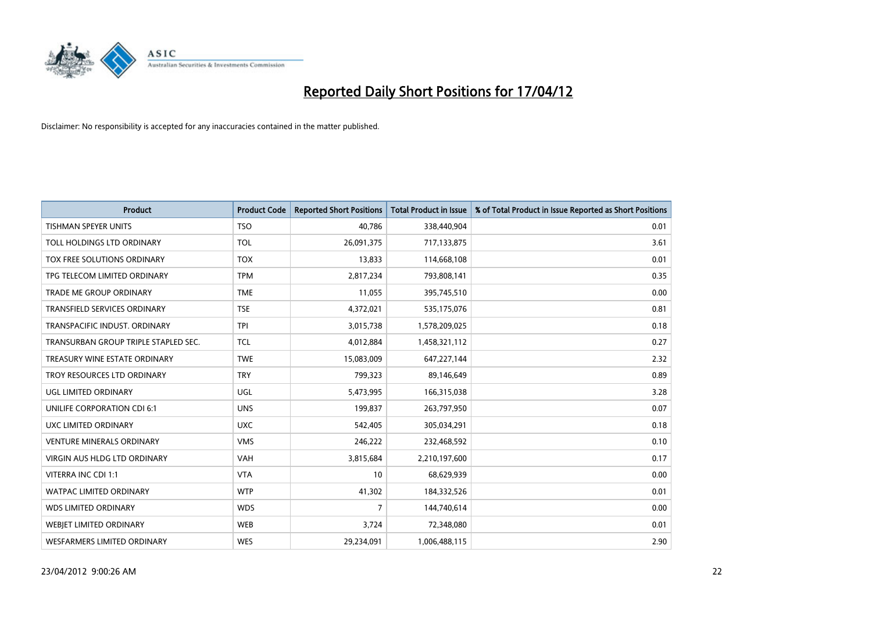

| <b>Product</b>                       | <b>Product Code</b> | <b>Reported Short Positions</b> | <b>Total Product in Issue</b> | % of Total Product in Issue Reported as Short Positions |
|--------------------------------------|---------------------|---------------------------------|-------------------------------|---------------------------------------------------------|
| <b>TISHMAN SPEYER UNITS</b>          | <b>TSO</b>          | 40,786                          | 338,440,904                   | 0.01                                                    |
| TOLL HOLDINGS LTD ORDINARY           | <b>TOL</b>          | 26,091,375                      | 717,133,875                   | 3.61                                                    |
| TOX FREE SOLUTIONS ORDINARY          | <b>TOX</b>          | 13,833                          | 114,668,108                   | 0.01                                                    |
| TPG TELECOM LIMITED ORDINARY         | <b>TPM</b>          | 2,817,234                       | 793,808,141                   | 0.35                                                    |
| <b>TRADE ME GROUP ORDINARY</b>       | <b>TME</b>          | 11,055                          | 395,745,510                   | 0.00                                                    |
| <b>TRANSFIELD SERVICES ORDINARY</b>  | <b>TSE</b>          | 4,372,021                       | 535,175,076                   | 0.81                                                    |
| TRANSPACIFIC INDUST. ORDINARY        | <b>TPI</b>          | 3,015,738                       | 1,578,209,025                 | 0.18                                                    |
| TRANSURBAN GROUP TRIPLE STAPLED SEC. | TCL                 | 4,012,884                       | 1,458,321,112                 | 0.27                                                    |
| TREASURY WINE ESTATE ORDINARY        | <b>TWE</b>          | 15,083,009                      | 647,227,144                   | 2.32                                                    |
| TROY RESOURCES LTD ORDINARY          | <b>TRY</b>          | 799,323                         | 89,146,649                    | 0.89                                                    |
| UGL LIMITED ORDINARY                 | UGL                 | 5,473,995                       | 166,315,038                   | 3.28                                                    |
| UNILIFE CORPORATION CDI 6:1          | <b>UNS</b>          | 199,837                         | 263,797,950                   | 0.07                                                    |
| UXC LIMITED ORDINARY                 | <b>UXC</b>          | 542,405                         | 305,034,291                   | 0.18                                                    |
| <b>VENTURE MINERALS ORDINARY</b>     | <b>VMS</b>          | 246,222                         | 232,468,592                   | 0.10                                                    |
| VIRGIN AUS HLDG LTD ORDINARY         | <b>VAH</b>          | 3,815,684                       | 2,210,197,600                 | 0.17                                                    |
| VITERRA INC CDI 1:1                  | <b>VTA</b>          | 10                              | 68,629,939                    | 0.00                                                    |
| WATPAC LIMITED ORDINARY              | <b>WTP</b>          | 41,302                          | 184,332,526                   | 0.01                                                    |
| <b>WDS LIMITED ORDINARY</b>          | <b>WDS</b>          | $\overline{7}$                  | 144,740,614                   | 0.00                                                    |
| WEBJET LIMITED ORDINARY              | <b>WEB</b>          | 3,724                           | 72,348,080                    | 0.01                                                    |
| WESFARMERS LIMITED ORDINARY          | <b>WES</b>          | 29,234,091                      | 1,006,488,115                 | 2.90                                                    |